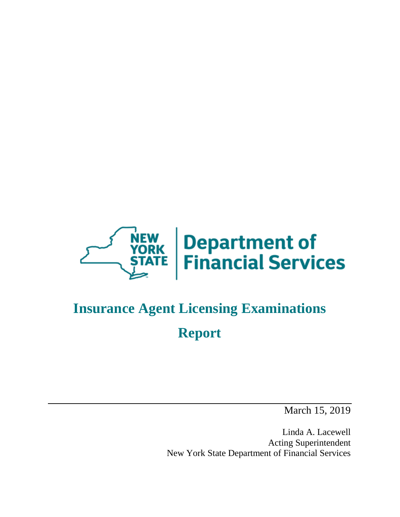

# **Insurance Agent Licensing Examinations Report**

March 15, 2019

Linda A. Lacewell Acting Superintendent New York State Department of Financial Services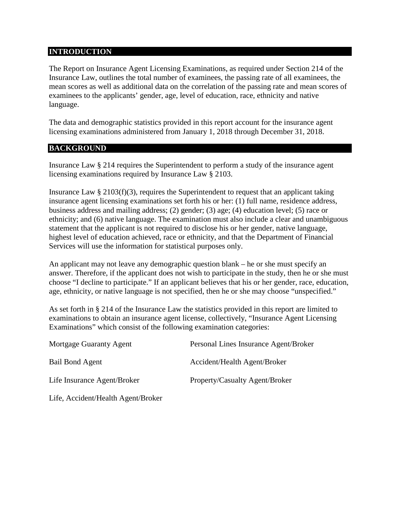#### **INTRODUCTION**

The Report on Insurance Agent Licensing Examinations, as required under Section 214 of the Insurance Law, outlines the total number of examinees, the passing rate of all examinees, the mean scores as well as additional data on the correlation of the passing rate and mean scores of examinees to the applicants' gender, age, level of education, race, ethnicity and native language.

The data and demographic statistics provided in this report account for the insurance agent licensing examinations administered from January 1, 2018 through December 31, 2018.

### **BACKGROUND**

Insurance Law § 214 requires the Superintendent to perform a study of the insurance agent licensing examinations required by Insurance Law § 2103.

Insurance Law  $\S 2103(f)(3)$ , requires the Superintendent to request that an applicant taking insurance agent licensing examinations set forth his or her: (1) full name, residence address, business address and mailing address; (2) gender; (3) age; (4) education level; (5) race or ethnicity; and (6) native language. The examination must also include a clear and unambiguous statement that the applicant is not required to disclose his or her gender, native language, highest level of education achieved, race or ethnicity, and that the Department of Financial Services will use the information for statistical purposes only.

An applicant may not leave any demographic question blank – he or she must specify an answer. Therefore, if the applicant does not wish to participate in the study, then he or she must choose "I decline to participate." If an applicant believes that his or her gender, race, education, age, ethnicity, or native language is not specified, then he or she may choose "unspecified."

As set forth in § 214 of the Insurance Law the statistics provided in this report are limited to examinations to obtain an insurance agent license, collectively, "Insurance Agent Licensing Examinations" which consist of the following examination categories:

| <b>Mortgage Guaranty Agent</b> | Personal Lines Insurance Agent/Broker |
|--------------------------------|---------------------------------------|
| Bail Bond Agent                | Accident/Health Agent/Broker          |
| Life Insurance Agent/Broker    | Property/Casualty Agent/Broker        |

Life, Accident/Health Agent/Broker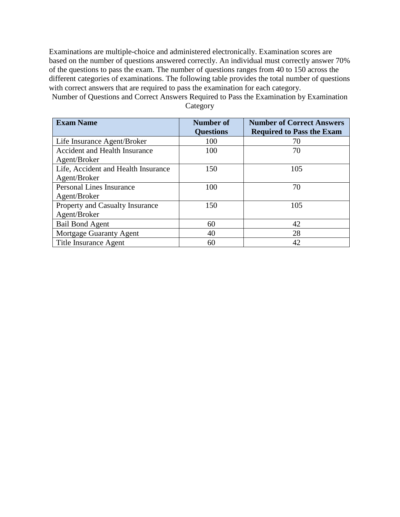Examinations are multiple-choice and administered electronically. Examination scores are based on the number of questions answered correctly. An individual must correctly answer 70% of the questions to pass the exam. The number of questions ranges from 40 to 150 across the different categories of examinations. The following table provides the total number of questions with correct answers that are required to pass the examination for each category.

Number of Questions and Correct Answers Required to Pass the Examination by Examination **Category** 

| <b>Exam Name</b>                    | <b>Number of</b> | <b>Number of Correct Answers</b> |
|-------------------------------------|------------------|----------------------------------|
|                                     | <b>Questions</b> | <b>Required to Pass the Exam</b> |
| Life Insurance Agent/Broker         | 100              | 70                               |
| Accident and Health Insurance       | 100              | 70                               |
| Agent/Broker                        |                  |                                  |
| Life, Accident and Health Insurance | 150              | 105                              |
| Agent/Broker                        |                  |                                  |
| <b>Personal Lines Insurance</b>     | 100              | 70                               |
| Agent/Broker                        |                  |                                  |
| Property and Casualty Insurance     | 150              | 105                              |
| Agent/Broker                        |                  |                                  |
| <b>Bail Bond Agent</b>              | 60               | 42                               |
| Mortgage Guaranty Agent             | 40               | 28                               |
| Title Insurance Agent               | 60               | 42                               |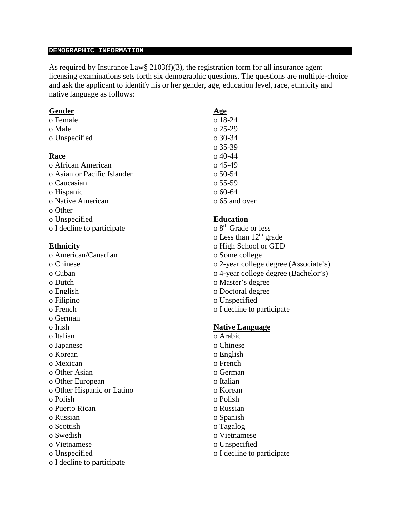#### **DEMOGRAPHIC INFORMATION**

As required by Insurance Law§ 2103(f)(3), the registration form for all insurance agent licensing examinations sets forth six demographic questions. The questions are multiple-choice and ask the applicant to identify his or her gender, age, education level, race, ethnicity and native language as follows:

#### **Gender Age**

| o Female                    | o 18-24   |
|-----------------------------|-----------|
| o Male                      | o 25-29   |
| o Unspecified               | $o$ 30-34 |
|                             | o 35-39   |
| Race                        | o 40-44   |
| o African American          | o 45-49   |
| o Asian or Pacific Islander | $050-54$  |
| o Caucasian                 | $055-59$  |
| o Hispanic                  | $060-64$  |
| o Native American           | 0.65 and  |
| o Other                     |           |
| o Unspecified               | Educati   |
| o I decline to participate  | $8th$ Gra |

- 
- 
- 
- 
- 
- 
- 
- o German
- 
- 
- 
- 
- 
- o Other Asian o German
- o Other European o Italian
- o Other Hispanic or Latino o Korean
- 
- o Puerto Rican o Russian
- 
- o Scottish o Tagalog
- 
- o Vietnamese o Unspecified
- 
- o I decline to participate

o 25-29 o 35-39 **Race** o 40-44  $o$  55-59  $o$  60-64 o 65 and over

- **Education**<br>o 8<sup>th</sup> Grade or less o Less than  $12<sup>th</sup>$  grade **Ethnicity** o High School or GED o American/Canadian o Some college o Chinese o 2-year college degree (Associate's) o Cuban o 4-year college degree (Bachelor's) o Dutch o Master's degree o English o Doctoral degree o Filipino o Unspecified o French o I decline to participate o Irish **Native Language** o Italian o Arabic o Japanese o Chinese o Korean o English o Mexican o French o Polish o Polish
- o Russian o Spanish
	-
- o Swedish o Vietnamese
	-
- o Unspecified o I decline to participate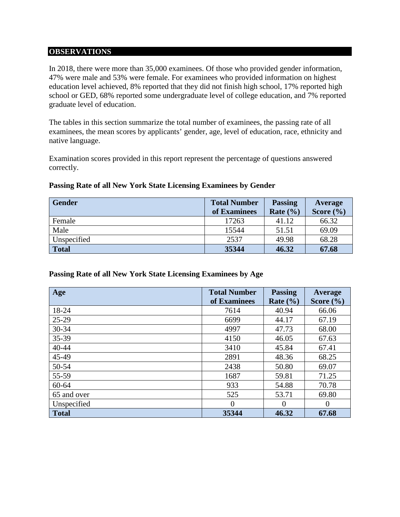#### **OBSERVATIONS**

In 2018, there were more than 35,000 examinees. Of those who provided gender information, 47% were male and 53% were female. For examinees who provided information on highest education level achieved, 8% reported that they did not finish high school, 17% reported high school or GED, 68% reported some undergraduate level of college education, and 7% reported graduate level of education.

The tables in this section summarize the total number of examinees, the passing rate of all examinees, the mean scores by applicants' gender, age, level of education, race, ethnicity and native language.

Examination scores provided in this report represent the percentage of questions answered correctly.

| <b>Gender</b> | <b>Total Number</b> | <b>Passing</b> | Average       |
|---------------|---------------------|----------------|---------------|
|               | of Examinees        | Rate $(\% )$   | Score $(\% )$ |
| Female        | 17263               | 41.12          | 66.32         |
| Male          | 15544               | 51.51          | 69.09         |
| Unspecified   | 2537                | 49.98          | 68.28         |
| <b>Total</b>  | 35344               | 46.32          | 67.68         |

#### **Passing Rate of all New York State Licensing Examinees by Gender**

#### **Passing Rate of all New York State Licensing Examinees by Age**

| Age          | <b>Total Number</b><br>of Examinees | <b>Passing</b><br>Rate $(\% )$ | Average<br>Score $(\% )$ |
|--------------|-------------------------------------|--------------------------------|--------------------------|
| 18-24        | 7614                                | 40.94                          | 66.06                    |
| 25-29        | 6699                                | 44.17                          | 67.19                    |
| 30-34        | 4997                                | 47.73                          | 68.00                    |
| 35-39        | 4150                                | 46.05                          | 67.63                    |
| 40-44        | 3410                                | 45.84                          | 67.41                    |
| 45-49        | 2891                                | 48.36                          | 68.25                    |
| 50-54        | 2438                                | 50.80                          | 69.07                    |
| 55-59        | 1687                                | 59.81                          | 71.25                    |
| 60-64        | 933                                 | 54.88                          | 70.78                    |
| 65 and over  | 525                                 | 53.71                          | 69.80                    |
| Unspecified  | $\overline{0}$                      | $\overline{0}$                 | $\theta$                 |
| <b>Total</b> | 35344                               | 46.32                          | 67.68                    |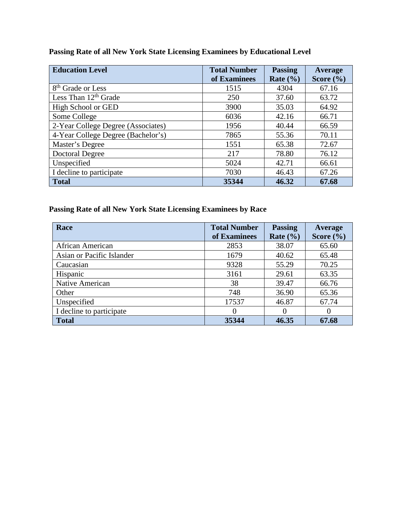| <b>Education Level</b>             | <b>Total Number</b><br>of Examinees | <b>Passing</b><br>Rate $(\frac{6}{6})$ | Average<br>Score $(\% )$ |
|------------------------------------|-------------------------------------|----------------------------------------|--------------------------|
| 8 <sup>th</sup> Grade or Less      | 1515                                | 4304                                   | 67.16                    |
| Less Than $12th$ Grade             | 250                                 | 37.60                                  | 63.72                    |
| High School or GED                 | 3900                                | 35.03                                  | 64.92                    |
| Some College                       | 6036                                | 42.16                                  | 66.71                    |
| 2-Year College Degree (Associates) | 1956                                | 40.44                                  | 66.59                    |
| 4-Year College Degree (Bachelor's) | 7865                                | 55.36                                  | 70.11                    |
| Master's Degree                    | 1551                                | 65.38                                  | 72.67                    |
| <b>Doctoral Degree</b>             | 217                                 | 78.80                                  | 76.12                    |
| Unspecified                        | 5024                                | 42.71                                  | 66.61                    |
| I decline to participate           | 7030                                | 46.43                                  | 67.26                    |
| <b>Total</b>                       | 35344                               | 46.32                                  | 67.68                    |

# **Passing Rate of all New York State Licensing Examinees by Educational Level**

# **Passing Rate of all New York State Licensing Examinees by Race**

| Race                      | <b>Total Number</b><br>of Examinees | <b>Passing</b><br>Rate $(\% )$ | Average<br>Score $(\% )$ |
|---------------------------|-------------------------------------|--------------------------------|--------------------------|
| African American          | 2853                                | 38.07                          | 65.60                    |
| Asian or Pacific Islander | 1679                                | 40.62                          | 65.48                    |
| Caucasian                 | 9328                                | 55.29                          | 70.25                    |
| Hispanic                  | 3161                                | 29.61                          | 63.35                    |
| Native American           | 38                                  | 39.47                          | 66.76                    |
| Other                     | 748                                 | 36.90                          | 65.36                    |
| Unspecified               | 17537                               | 46.87                          | 67.74                    |
| I decline to participate  | $\Omega$                            | $\Omega$                       |                          |
| <b>Total</b>              | 35344                               | 46.35                          | 67.68                    |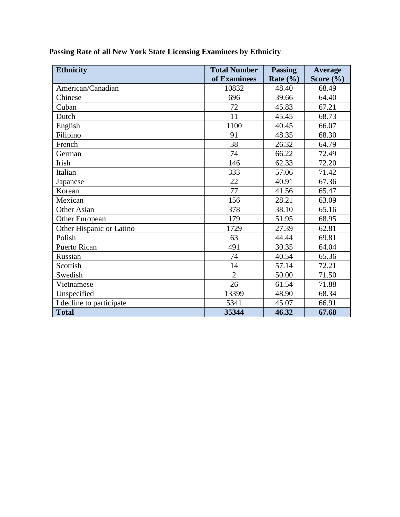| <b>Ethnicity</b>         | <b>Total Number</b> | <b>Passing</b> | Average       |
|--------------------------|---------------------|----------------|---------------|
|                          | of Examinees        | Rate $(\% )$   | Score $(\% )$ |
| American/Canadian        | 10832               | 48.40          | 68.49         |
| Chinese                  | 696                 | 39.66          | 64.40         |
| Cuban                    | 72                  | 45.83          | 67.21         |
| Dutch                    | 11                  | 45.45          | 68.73         |
| English                  | 1100                | 40.45          | 66.07         |
| Filipino                 | 91                  | 48.35          | 68.30         |
| French                   | 38                  | 26.32          | 64.79         |
| German                   | 74                  | 66.22          | 72.49         |
| Irish                    | 146                 | 62.33          | 72.20         |
| Italian                  | 333                 | 57.06          | 71.42         |
| Japanese                 | 22                  | 40.91          | 67.36         |
| Korean                   | 77                  | 41.56          | 65.47         |
| Mexican                  | 156                 | 28.21          | 63.09         |
| Other Asian              | 378                 | 38.10          | 65.16         |
| Other European           | 179                 | 51.95          | 68.95         |
| Other Hispanic or Latino | 1729                | 27.39          | 62.81         |
| Polish                   | 63                  | 44.44          | 69.81         |
| <b>Puerto Rican</b>      | 491                 | 30.35          | 64.04         |
| Russian                  | 74                  | 40.54          | 65.36         |
| Scottish                 | 14                  | 57.14          | 72.21         |
| Swedish                  | $\overline{2}$      | 50.00          | 71.50         |
| Vietnamese               | 26                  | 61.54          | 71.88         |
| Unspecified              | 13399               | 48.90          | 68.34         |
| I decline to participate | 5341                | 45.07          | 66.91         |
| <b>Total</b>             | 35344               | 46.32          | 67.68         |

# **Passing Rate of all New York State Licensing Examinees by Ethnicity**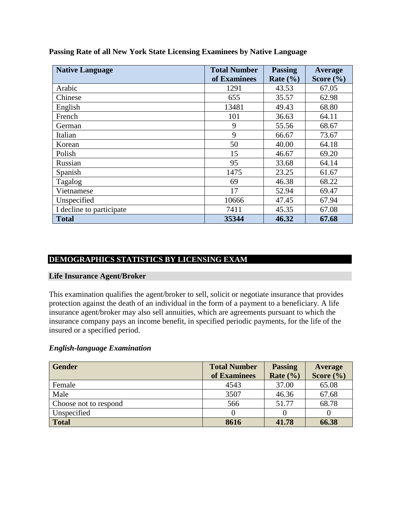| <b>Native Language</b>   | <b>Total Number</b> | <b>Passing</b> | Average       |
|--------------------------|---------------------|----------------|---------------|
|                          | of Examinees        | Rate $(\% )$   | Score $(\% )$ |
| Arabic                   | 1291                | 43.53          | 67.05         |
| Chinese                  | 655                 | 35.57          | 62.98         |
| English                  | 13481               | 49.43          | 68.80         |
| French                   | 101                 | 36.63          | 64.11         |
| German                   | 9                   | 55.56          | 68.67         |
| Italian                  | 9                   | 66.67          | 73.67         |
| Korean                   | 50                  | 40.00          | 64.18         |
| Polish                   | 15                  | 46.67          | 69.20         |
| Russian                  | 95                  | 33.68          | 64.14         |
| Spanish                  | 1475                | 23.25          | 61.67         |
| Tagalog                  | 69                  | 46.38          | 68.22         |
| Vietnamese               | 17                  | 52.94          | 69.47         |
| Unspecified              | 10666               | 47.45          | 67.94         |
| I decline to participate | 7411                | 45.35          | 67.08         |
| <b>Total</b>             | 35344               | 46.32          | 67.68         |

**Passing Rate of all New York State Licensing Examinees by Native Language** 

# **DEMOGRAPHICS STATISTICS BY LICENSING EXAM**

#### **Life Insurance Agent/Broker**

This examination qualifies the agent/broker to sell, solicit or negotiate insurance that provides protection against the death of an individual in the form of a payment to a beneficiary. A life insurance agent/broker may also sell annuities, which are agreements pursuant to which the insurance company pays an income benefit, in specified periodic payments, for the life of the insured or a specified period.

#### *English-language Examination*

| <b>Gender</b>         | <b>Total Number</b> | <b>Passing</b> | Average       |
|-----------------------|---------------------|----------------|---------------|
|                       | of Examinees        | Rate $(\% )$   | Score $(\% )$ |
| Female                | 4543                | 37.00          | 65.08         |
| Male                  | 3507                | 46.36          | 67.68         |
| Choose not to respond | 566                 | 51.77          | 68.78         |
| Unspecified           |                     |                |               |
| <b>Total</b>          | 8616                | 41.78          | 66.38         |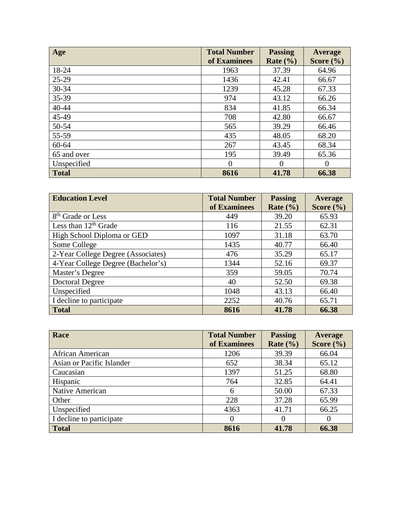| Age          | <b>Total Number</b><br>of Examinees | <b>Passing</b><br>Rate $(\% )$ | Average<br>Score $(\% )$ |
|--------------|-------------------------------------|--------------------------------|--------------------------|
| 18-24        | 1963                                | 37.39                          | 64.96                    |
| 25-29        | 1436                                | 42.41                          | 66.67                    |
| 30-34        | 1239                                | 45.28                          | 67.33                    |
| 35-39        | 974                                 | 43.12                          | 66.26                    |
| 40-44        | 834                                 | 41.85                          | 66.34                    |
| 45-49        | 708                                 | 42.80                          | 66.67                    |
| 50-54        | 565                                 | 39.29                          | 66.46                    |
| 55-59        | 435                                 | 48.05                          | 68.20                    |
| 60-64        | 267                                 | 43.45                          | 68.34                    |
| 65 and over  | 195                                 | 39.49                          | 65.36                    |
| Unspecified  | 0                                   | $\Omega$                       | $\Omega$                 |
| <b>Total</b> | 8616                                | 41.78                          | 66.38                    |

| <b>Education Level</b>             | <b>Total Number</b> | <b>Passing</b>       | Average       |
|------------------------------------|---------------------|----------------------|---------------|
|                                    | of Examinees        | Rate $(\frac{9}{6})$ | Score $(\% )$ |
| 8 <sup>th</sup> Grade or Less      | 449                 | 39.20                | 65.93         |
| Less than $12th$ Grade             | 116                 | 21.55                | 62.31         |
| High School Diploma or GED         | 1097                | 31.18                | 63.70         |
| Some College                       | 1435                | 40.77                | 66.40         |
| 2-Year College Degree (Associates) | 476                 | 35.29                | 65.17         |
| 4-Year College Degree (Bachelor's) | 1344                | 52.16                | 69.37         |
| Master's Degree                    | 359                 | 59.05                | 70.74         |
| <b>Doctoral Degree</b>             | 40                  | 52.50                | 69.38         |
| Unspecified                        | 1048                | 43.13                | 66.40         |
| I decline to participate           | 2252                | 40.76                | 65.71         |
| <b>Total</b>                       | 8616                | 41.78                | 66.38         |

| Race                      | <b>Total Number</b><br>of Examinees | <b>Passing</b><br>Rate $(\% )$ | Average<br>Score $(\% )$ |
|---------------------------|-------------------------------------|--------------------------------|--------------------------|
|                           |                                     |                                |                          |
| African American          | 1206                                | 39.39                          | 66.04                    |
| Asian or Pacific Islander | 652                                 | 38.34                          | 65.12                    |
| Caucasian                 | 1397                                | 51.25                          | 68.80                    |
| Hispanic                  | 764                                 | 32.85                          | 64.41                    |
| Native American           | 6                                   | 50.00                          | 67.33                    |
| Other                     | 228                                 | 37.28                          | 65.99                    |
| Unspecified               | 4363                                | 41.71                          | 66.25                    |
| I decline to participate  |                                     |                                |                          |
| <b>Total</b>              | 8616                                | 41.78                          | 66.38                    |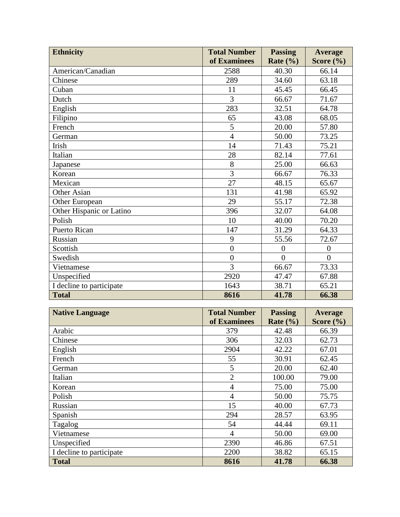| <b>Ethnicity</b>         | <b>Total Number</b> | <b>Passing</b> | Average        |
|--------------------------|---------------------|----------------|----------------|
|                          | of Examinees        | Rate $(\% )$   | Score $(\% )$  |
| American/Canadian        | 2588                | 40.30          | 66.14          |
| Chinese                  | 289                 | 34.60          | 63.18          |
| Cuban                    | 11                  | 45.45          | 66.45          |
| Dutch                    | 3                   | 66.67          | 71.67          |
| English                  | 283                 | 32.51          | 64.78          |
| Filipino                 | 65                  | 43.08          | 68.05          |
| French                   | 5                   | 20.00          | 57.80          |
| German                   | $\overline{4}$      | 50.00          | 73.25          |
| Irish                    | 14                  | 71.43          | 75.21          |
| Italian                  | 28                  | 82.14          | 77.61          |
| Japanese                 | 8                   | 25.00          | 66.63          |
| Korean                   | 3                   | 66.67          | 76.33          |
| Mexican                  | 27                  | 48.15          | 65.67          |
| Other Asian              | 131                 | 41.98          | 65.92          |
| Other European           | 29                  | 55.17          | 72.38          |
| Other Hispanic or Latino | 396                 | 32.07          | 64.08          |
| Polish                   | 10                  | 40.00          | 70.20          |
| <b>Puerto Rican</b>      | 147                 | 31.29          | 64.33          |
| Russian                  | 9                   | 55.56          | 72.67          |
| Scottish                 | $\overline{0}$      | $\overline{0}$ | $\overline{0}$ |
| Swedish                  | $\overline{0}$      | $\theta$       | $\theta$       |
| Vietnamese               | 3                   | 66.67          | 73.33          |
| Unspecified              | 2920                | 47.47          | 67.88          |
| I decline to participate | 1643                | 38.71          | 65.21          |
| <b>Total</b>             | 8616                | 41.78          | 66.38          |

| <b>Native Language</b>   | <b>Total Number</b> | <b>Passing</b> | Average       |
|--------------------------|---------------------|----------------|---------------|
|                          | of Examinees        | Rate $(\% )$   | Score $(\% )$ |
| Arabic                   | 379                 | 42.48          | 66.39         |
| Chinese                  | 306                 | 32.03          | 62.73         |
| English                  | 2904                | 42.22          | 67.01         |
| French                   | 55                  | 30.91          | 62.45         |
| German                   | 5                   | 20.00          | 62.40         |
| Italian                  | $\overline{2}$      | 100.00         | 79.00         |
| Korean                   | 4                   | 75.00          | 75.00         |
| Polish                   | $\overline{4}$      | 50.00          | 75.75         |
| Russian                  | 15                  | 40.00          | 67.73         |
| Spanish                  | 294                 | 28.57          | 63.95         |
| Tagalog                  | 54                  | 44.44          | 69.11         |
| Vietnamese               | 4                   | 50.00          | 69.00         |
| Unspecified              | 2390                | 46.86          | 67.51         |
| I decline to participate | 2200                | 38.82          | 65.15         |
| <b>Total</b>             | 8616                | 41.78          | 66.38         |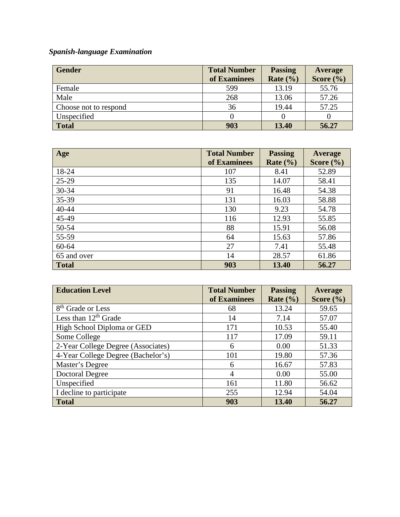# *Spanish-language Examination*

| <b>Gender</b>         | <b>Total Number</b><br>of Examinees | <b>Passing</b><br>Rate $(\% )$ | Average<br>Score $(\% )$ |
|-----------------------|-------------------------------------|--------------------------------|--------------------------|
| Female                | 599                                 | 13.19                          | 55.76                    |
| Male                  | 268                                 | 13.06                          | 57.26                    |
| Choose not to respond | 36                                  | 19.44                          | 57.25                    |
| Unspecified           |                                     |                                |                          |
| <b>Total</b>          | 903                                 | 13.40                          | 56.27                    |

| Age          | <b>Total Number</b> | <b>Passing</b> | Average       |
|--------------|---------------------|----------------|---------------|
|              | of Examinees        | Rate $(\%)$    | Score $(\% )$ |
| 18-24        | 107                 | 8.41           | 52.89         |
| $25-29$      | 135                 | 14.07          | 58.41         |
| 30-34        | 91                  | 16.48          | 54.38         |
| 35-39        | 131                 | 16.03          | 58.88         |
| 40-44        | 130                 | 9.23           | 54.78         |
| 45-49        | 116                 | 12.93          | 55.85         |
| 50-54        | 88                  | 15.91          | 56.08         |
| 55-59        | 64                  | 15.63          | 57.86         |
| $60 - 64$    | 27                  | 7.41           | 55.48         |
| 65 and over  | 14                  | 28.57          | 61.86         |
| <b>Total</b> | 903                 | 13.40          | 56.27         |

| <b>Education Level</b>             | <b>Total Number</b> | <b>Passing</b> | Average       |
|------------------------------------|---------------------|----------------|---------------|
|                                    | of Examinees        | Rate $(\% )$   | Score $(\% )$ |
| 8 <sup>th</sup> Grade or Less      | 68                  | 13.24          | 59.65         |
| Less than $12th$ Grade             | 14                  | 7.14           | 57.07         |
| High School Diploma or GED         | 171                 | 10.53          | 55.40         |
| Some College                       | 117                 | 17.09          | 59.11         |
| 2-Year College Degree (Associates) | 6                   | 0.00           | 51.33         |
| 4-Year College Degree (Bachelor's) | 101                 | 19.80          | 57.36         |
| Master's Degree                    | 6                   | 16.67          | 57.83         |
| <b>Doctoral Degree</b>             | $\overline{A}$      | 0.00           | 55.00         |
| Unspecified                        | 161                 | 11.80          | 56.62         |
| I decline to participate           | 255                 | 12.94          | 54.04         |
| <b>Total</b>                       | 903                 | 13.40          | 56.27         |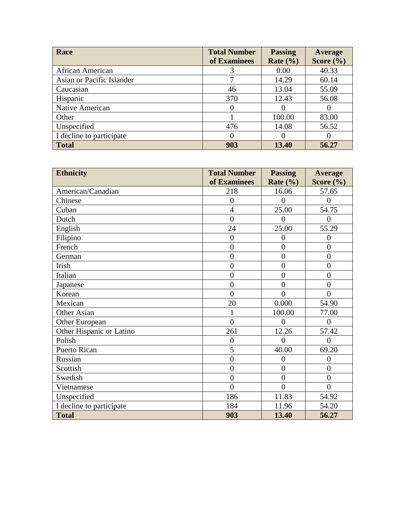| Race                      | <b>Total Number</b> | <b>Passing</b> | Average       |
|---------------------------|---------------------|----------------|---------------|
|                           | of Examinees        | Rate $(\% )$   | Score $(\% )$ |
| African American          |                     | 0.00           | 40.33         |
| Asian or Pacific Islander |                     | 14.29          | 60.14         |
| Caucasian                 | 46                  | 13.04          | 55.09         |
| Hispanic                  | 370                 | 12.43          | 56.08         |
| Native American           | $\theta$            |                |               |
| Other                     |                     | 100.00         | 83.00         |
| Unspecified               | 476                 | 14.08          | 56.52         |
| I decline to participate  | $\theta$            |                |               |
| <b>Total</b>              | 903                 | 13.40          | 56.27         |

| <b>Ethnicity</b>         | <b>Total Number</b> | <b>Passing</b> | <b>Average</b> |
|--------------------------|---------------------|----------------|----------------|
|                          | of Examinees        | Rate $(\% )$   | Score $(\% )$  |
| American/Canadian        | 218                 | 16.06          | 57.65          |
| Chinese                  | $\overline{0}$      | $\overline{0}$ | $\overline{0}$ |
| Cuban                    | $\overline{4}$      | 25.00          | 54.75          |
| Dutch                    | $\overline{0}$      | $\theta$       | $\theta$       |
| English                  | 24                  | 25.00          | 55.29          |
| Filipino                 | $\overline{0}$      | $\overline{0}$ | $\overline{0}$ |
| French                   | $\overline{0}$      | $\overline{0}$ | $\overline{0}$ |
| German                   | $\overline{0}$      | $\overline{0}$ | $\overline{0}$ |
| Irish                    | $\overline{0}$      | $\overline{0}$ | $\overline{0}$ |
| Italian                  | $\overline{0}$      | $\overline{0}$ | $\overline{0}$ |
| Japanese                 | $\overline{0}$      | $\overline{0}$ | $\overline{0}$ |
| Korean                   | $\overline{0}$      | $\theta$       | $\theta$       |
| Mexican                  | 20                  | 0.000          | 54.90          |
| Other Asian              | $\mathbf{1}$        | 100.00         | 77.00          |
| Other European           | $\overline{0}$      | $\overline{0}$ | $\overline{0}$ |
| Other Hispanic or Latino | 261                 | 12.26          | 57.42          |
| Polish                   | $\overline{0}$      | $\theta$       | $\theta$       |
| <b>Puerto Rican</b>      | 5                   | 40.00          | 69.20          |
| Russian                  | $\overline{0}$      | $\overline{0}$ | $\overline{0}$ |
| Scottish                 | $\overline{0}$      | $\overline{0}$ | $\overline{0}$ |
| Swedish                  | $\overline{0}$      | $\overline{0}$ | $\overline{0}$ |
| Vietnamese               | $\overline{0}$      | $\overline{0}$ | $\theta$       |
| Unspecified              | 186                 | 11.83          | 54.92          |
| I decline to participate | 184                 | 11.96          | 54.20          |
| <b>Total</b>             | 903                 | 13.40          | 56.27          |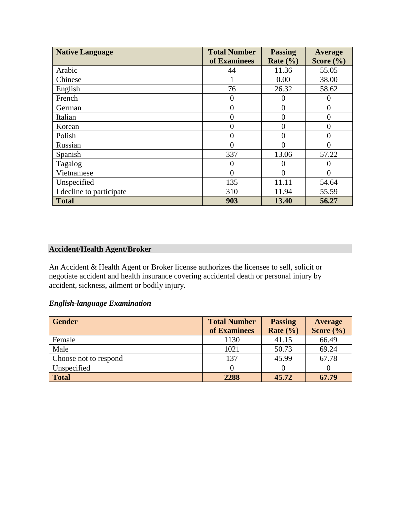| <b>Native Language</b>   | <b>Total Number</b> | <b>Passing</b> | Average       |
|--------------------------|---------------------|----------------|---------------|
|                          | of Examinees        | Rate $(\% )$   | Score $(\% )$ |
| Arabic                   | 44                  | 11.36          | 55.05         |
| Chinese                  |                     | 0.00           | 38.00         |
| English                  | 76                  | 26.32          | 58.62         |
| French                   | $\theta$            | 0              |               |
| German                   | 0                   | 0              |               |
| Italian                  | $\overline{0}$      | 0              |               |
| Korean                   | $\overline{0}$      | 0              | 0             |
| Polish                   | $\theta$            | 0              |               |
| Russian                  | $\theta$            | 0              |               |
| Spanish                  | 337                 | 13.06          | 57.22         |
| Tagalog                  | $\boldsymbol{0}$    | 0              |               |
| Vietnamese               | $\overline{0}$      | $\Omega$       | 0             |
| Unspecified              | 135                 | 11.11          | 54.64         |
| I decline to participate | 310                 | 11.94          | 55.59         |
| <b>Total</b>             | 903                 | 13.40          | 56.27         |

# **Accident/Health Agent/Broker**

An Accident & Health Agent or Broker license authorizes the licensee to sell, solicit or negotiate accident and health insurance covering accidental death or personal injury by accident, sickness, ailment or bodily injury.

# *English-language Examination*

| <b>Gender</b>         | <b>Total Number</b> | <b>Passing</b> | <b>Average</b> |
|-----------------------|---------------------|----------------|----------------|
|                       | of Examinees        | Rate $(\% )$   | Score $(\% )$  |
| Female                | 1130                | 41.15          | 66.49          |
| Male                  | 1021                | 50.73          | 69.24          |
| Choose not to respond | 137                 | 45.99          | 67.78          |
| Unspecified           |                     |                |                |
| <b>Total</b>          | 2288                | 45.72          | 67.79          |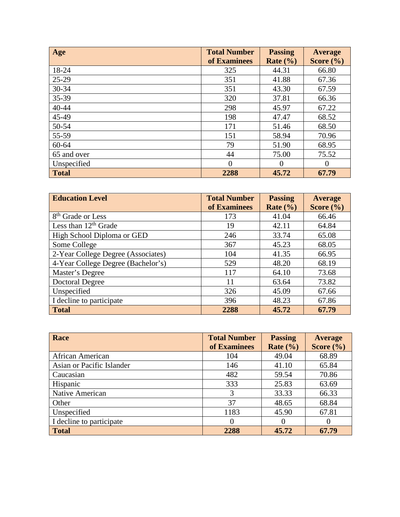| Age          | <b>Total Number</b><br>of Examinees | <b>Passing</b><br>Rate $(\% )$ | <b>Average</b><br>Score $(\% )$ |
|--------------|-------------------------------------|--------------------------------|---------------------------------|
| 18-24        | 325                                 | 44.31                          | 66.80                           |
| $25-29$      | 351                                 | 41.88                          | 67.36                           |
| 30-34        | 351                                 | 43.30                          | 67.59                           |
| 35-39        | 320                                 | 37.81                          | 66.36                           |
| 40-44        | 298                                 | 45.97                          | 67.22                           |
| 45-49        | 198                                 | 47.47                          | 68.52                           |
| 50-54        | 171                                 | 51.46                          | 68.50                           |
| 55-59        | 151                                 | 58.94                          | 70.96                           |
| $60 - 64$    | 79                                  | 51.90                          | 68.95                           |
| 65 and over  | 44                                  | 75.00                          | 75.52                           |
| Unspecified  | $\Omega$                            | $\Omega$                       | $\Omega$                        |
| <b>Total</b> | 2288                                | 45.72                          | 67.79                           |

| <b>Education Level</b>             | <b>Total Number</b> | <b>Passing</b> | <b>Average</b> |
|------------------------------------|---------------------|----------------|----------------|
|                                    | of Examinees        | Rate $(\% )$   | Score $(\% )$  |
| 8 <sup>th</sup> Grade or Less      | 173                 | 41.04          | 66.46          |
| Less than $12th$ Grade             | 19                  | 42.11          | 64.84          |
| High School Diploma or GED         | 246                 | 33.74          | 65.08          |
| Some College                       | 367                 | 45.23          | 68.05          |
| 2-Year College Degree (Associates) | 104                 | 41.35          | 66.95          |
| 4-Year College Degree (Bachelor's) | 529                 | 48.20          | 68.19          |
| Master's Degree                    | 117                 | 64.10          | 73.68          |
| <b>Doctoral Degree</b>             | 11                  | 63.64          | 73.82          |
| Unspecified                        | 326                 | 45.09          | 67.66          |
| I decline to participate           | 396                 | 48.23          | 67.86          |
| <b>Total</b>                       | 2288                | 45.72          | 67.79          |

| Race                      | <b>Total Number</b> | <b>Passing</b> | <b>Average</b> |
|---------------------------|---------------------|----------------|----------------|
|                           | of Examinees        | Rate $(\% )$   | Score $(\% )$  |
| African American          | 104                 | 49.04          | 68.89          |
| Asian or Pacific Islander | 146                 | 41.10          | 65.84          |
| Caucasian                 | 482                 | 59.54          | 70.86          |
| Hispanic                  | 333                 | 25.83          | 63.69          |
| Native American           | 3                   | 33.33          | 66.33          |
| Other                     | 37                  | 48.65          | 68.84          |
| Unspecified               | 1183                | 45.90          | 67.81          |
| I decline to participate  | $\theta$            |                | O              |
| <b>Total</b>              | 2288                | 45.72          | 67.79          |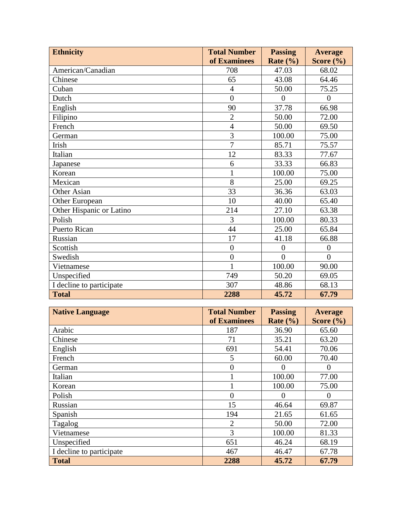| <b>Ethnicity</b>         | <b>Total Number</b> | <b>Passing</b>       | <b>Average</b> |
|--------------------------|---------------------|----------------------|----------------|
|                          | of Examinees        | Rate $(\frac{6}{6})$ | Score $(\% )$  |
| American/Canadian        | 708                 | 47.03                | 68.02          |
| Chinese                  | 65                  | 43.08                | 64.46          |
| Cuban                    | $\overline{4}$      | 50.00                | 75.25          |
| Dutch                    | $\theta$            | $\theta$             | $\Omega$       |
| English                  | 90                  | 37.78                | 66.98          |
| Filipino                 | $\overline{2}$      | 50.00                | 72.00          |
| French                   | $\overline{4}$      | 50.00                | 69.50          |
| German                   | $\overline{3}$      | 100.00               | 75.00          |
| Irish                    | $\overline{7}$      | 85.71                | 75.57          |
| Italian                  | 12                  | 83.33                | 77.67          |
| Japanese                 | 6                   | 33.33                | 66.83          |
| Korean                   |                     | 100.00               | 75.00          |
| Mexican                  | 8                   | 25.00                | 69.25          |
| Other Asian              | 33                  | 36.36                | 63.03          |
| Other European           | 10                  | 40.00                | 65.40          |
| Other Hispanic or Latino | 214                 | 27.10                | 63.38          |
| Polish                   | 3                   | 100.00               | 80.33          |
| <b>Puerto Rican</b>      | 44                  | 25.00                | 65.84          |
| Russian                  | 17                  | 41.18                | 66.88          |
| Scottish                 | $\overline{0}$      | $\theta$             | $\theta$       |
| Swedish                  | $\overline{0}$      | $\overline{0}$       | $\overline{0}$ |
| Vietnamese               | 1                   | 100.00               | 90.00          |
| Unspecified              | 749                 | 50.20                | 69.05          |
| I decline to participate | 307                 | 48.86                | 68.13          |
| <b>Total</b>             | 2288                | 45.72                | 67.79          |

| <b>Native Language</b>   | <b>Total Number</b> | <b>Passing</b> | <b>Average</b> |
|--------------------------|---------------------|----------------|----------------|
|                          | of Examinees        | Rate $(\% )$   | Score $(\% )$  |
| Arabic                   | 187                 | 36.90          | 65.60          |
| Chinese                  | 71                  | 35.21          | 63.20          |
| English                  | 691                 | 54.41          | 70.06          |
| French                   | 5                   | 60.00          | 70.40          |
| German                   | 0                   | $\Omega$       | $\Omega$       |
| Italian                  |                     | 100.00         | 77.00          |
| Korean                   |                     | 100.00         | 75.00          |
| Polish                   | 0                   | $\Omega$       | $\theta$       |
| Russian                  | 15                  | 46.64          | 69.87          |
| Spanish                  | 194                 | 21.65          | 61.65          |
| Tagalog                  | $\overline{2}$      | 50.00          | 72.00          |
| Vietnamese               | 3                   | 100.00         | 81.33          |
| Unspecified              | 651                 | 46.24          | 68.19          |
| I decline to participate | 467                 | 46.47          | 67.78          |
| <b>Total</b>             | 2288                | 45.72          | 67.79          |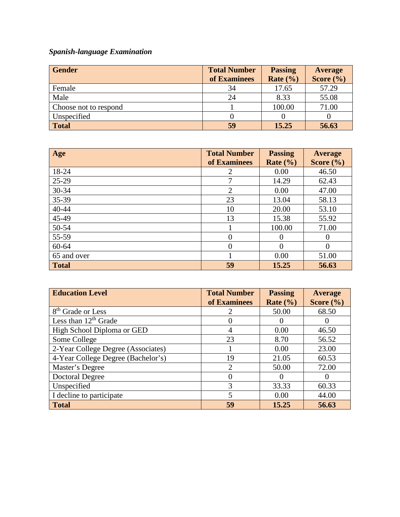# *Spanish-language Examination*

| <b>Gender</b>         | <b>Total Number</b><br>of Examinees | <b>Passing</b><br>Rate $(\% )$ | Average<br>Score $(\% )$ |
|-----------------------|-------------------------------------|--------------------------------|--------------------------|
| Female                | 34                                  | 17.65                          | 57.29                    |
| Male                  | 24                                  | 8.33                           | 55.08                    |
| Choose not to respond |                                     | 100.00                         | 71.00                    |
| Unspecified           |                                     |                                |                          |
| <b>Total</b>          | 59                                  | 15.25                          | 56.63                    |

| Age          | <b>Total Number</b> | <b>Passing</b> | Average       |
|--------------|---------------------|----------------|---------------|
|              | of Examinees        | Rate $(\% )$   | Score $(\% )$ |
| 18-24        | 2                   | 0.00           | 46.50         |
| $25-29$      | 7                   | 14.29          | 62.43         |
| 30-34        | $\overline{2}$      | 0.00           | 47.00         |
| 35-39        | 23                  | 13.04          | 58.13         |
| 40-44        | 10                  | 20.00          | 53.10         |
| 45-49        | 13                  | 15.38          | 55.92         |
| 50-54        |                     | 100.00         | 71.00         |
| 55-59        | $\theta$            | $\theta$       | $\Omega$      |
| 60-64        | $\Omega$            | $\Omega$       | $\Omega$      |
| 65 and over  |                     | 0.00           | 51.00         |
| <b>Total</b> | 59                  | 15.25          | 56.63         |

| <b>Education Level</b>             | <b>Total Number</b> | <b>Passing</b> | <b>Average</b> |
|------------------------------------|---------------------|----------------|----------------|
|                                    | of Examinees        | Rate $(\% )$   | Score $(\% )$  |
| 8 <sup>th</sup> Grade or Less      |                     | 50.00          | 68.50          |
| Less than $12th$ Grade             |                     |                |                |
| High School Diploma or GED         | 4                   | 0.00           | 46.50          |
| Some College                       | 23                  | 8.70           | 56.52          |
| 2-Year College Degree (Associates) |                     | 0.00           | 23.00          |
| 4-Year College Degree (Bachelor's) | 19                  | 21.05          | 60.53          |
| Master's Degree                    | ↑                   | 50.00          | 72.00          |
| <b>Doctoral Degree</b>             |                     |                |                |
| Unspecified                        | 3                   | 33.33          | 60.33          |
| I decline to participate           | 5                   | 0.00           | 44.00          |
| <b>Total</b>                       | 59                  | 15.25          | 56.63          |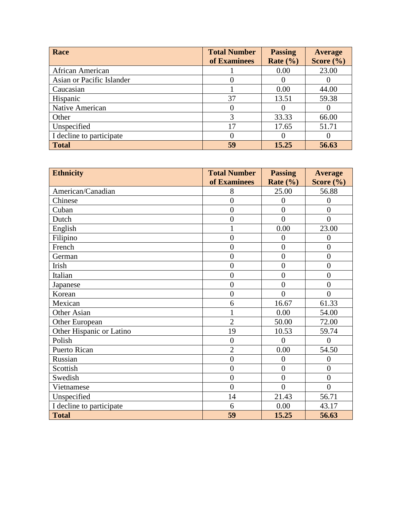| Race                      | <b>Total Number</b><br>of Examinees | <b>Passing</b><br>Rate $(\% )$ | Average<br>Score $(\% )$ |
|---------------------------|-------------------------------------|--------------------------------|--------------------------|
| African American          |                                     | 0.00                           | 23.00                    |
| Asian or Pacific Islander |                                     |                                |                          |
| Caucasian                 |                                     | 0.00                           | 44.00                    |
| Hispanic                  | 37                                  | 13.51                          | 59.38                    |
| Native American           |                                     |                                |                          |
| Other                     |                                     | 33.33                          | 66.00                    |
| Unspecified               | 17                                  | 17.65                          | 51.71                    |
| I decline to participate  |                                     |                                |                          |
| <b>Total</b>              | 59                                  | 15.25                          | 56.63                    |

| <b>Ethnicity</b>         | <b>Total Number</b> | <b>Passing</b> | <b>Average</b> |
|--------------------------|---------------------|----------------|----------------|
|                          | of Examinees        | Rate $(\% )$   | Score $(\% )$  |
| American/Canadian        | 8                   | 25.00          | 56.88          |
| Chinese                  | $\overline{0}$      | $\overline{0}$ | $\theta$       |
| Cuban                    | $\overline{0}$      | $\overline{0}$ | $\overline{0}$ |
| Dutch                    | $\overline{0}$      | $\theta$       | $\theta$       |
| English                  | 1                   | 0.00           | 23.00          |
| Filipino                 | $\overline{0}$      | 0              | $\Omega$       |
| French                   | $\overline{0}$      | $\overline{0}$ | $\overline{0}$ |
| German                   | $\overline{0}$      | $\overline{0}$ | $\overline{0}$ |
| Irish                    | $\overline{0}$      | $\overline{0}$ | $\overline{0}$ |
| Italian                  | $\overline{0}$      | $\overline{0}$ | $\overline{0}$ |
| Japanese                 | $\overline{0}$      | $\overline{0}$ | $\overline{0}$ |
| Korean                   | $\overline{0}$      | $\theta$       | $\theta$       |
| Mexican                  | 6                   | 16.67          | 61.33          |
| Other Asian              | 1                   | 0.00           | 54.00          |
| Other European           | $\overline{2}$      | 50.00          | 72.00          |
| Other Hispanic or Latino | 19                  | 10.53          | 59.74          |
| Polish                   | $\overline{0}$      | $\theta$       | $\Omega$       |
| Puerto Rican             | $\overline{2}$      | 0.00           | 54.50          |
| Russian                  | $\overline{0}$      | $\overline{0}$ | $\overline{0}$ |
| Scottish                 | $\overline{0}$      | $\overline{0}$ | $\overline{0}$ |
| Swedish                  | $\overline{0}$      | $\overline{0}$ | $\overline{0}$ |
| Vietnamese               | $\theta$            | $\theta$       | $\theta$       |
| Unspecified              | 14                  | 21.43          | 56.71          |
| I decline to participate | 6                   | 0.00           | 43.17          |
| <b>Total</b>             | 59                  | 15.25          | 56.63          |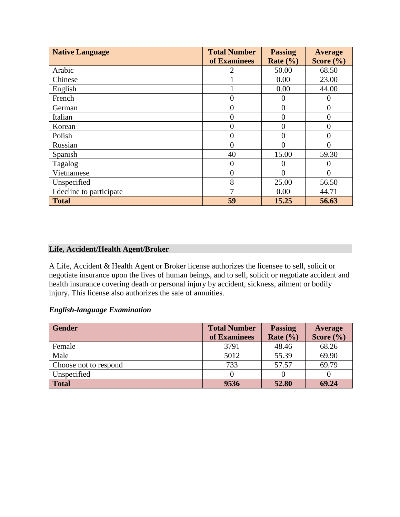| <b>Native Language</b>   | <b>Total Number</b> | <b>Passing</b> | <b>Average</b>    |
|--------------------------|---------------------|----------------|-------------------|
|                          | of Examinees        | Rate $(\% )$   | Score $(\% )$     |
| Arabic                   |                     | 50.00          | 68.50             |
| Chinese                  |                     | 0.00           | 23.00             |
| English                  |                     | 0.00           | 44.00             |
| French                   | 0                   | $\theta$       | $\left($ )        |
| German                   |                     | 0              | $\mathbf{\Omega}$ |
| Italian                  | 0                   | $\overline{0}$ |                   |
| Korean                   |                     | $\overline{0}$ | 0                 |
| Polish                   |                     | 0              |                   |
| Russian                  | 0                   | 0              |                   |
| Spanish                  | 40                  | 15.00          | 59.30             |
| Tagalog                  | 0                   | $\theta$       |                   |
| Vietnamese               | 0                   | $\Omega$       |                   |
| Unspecified              | 8                   | 25.00          | 56.50             |
| I decline to participate | 7                   | 0.00           | 44.71             |
| <b>Total</b>             | 59                  | 15.25          | 56.63             |

# **Life, Accident/Health Agent/Broker**

A Life, Accident & Health Agent or Broker license authorizes the licensee to sell, solicit or negotiate insurance upon the lives of human beings, and to sell, solicit or negotiate accident and health insurance covering death or personal injury by accident, sickness, ailment or bodily injury. This license also authorizes the sale of annuities.

# *English-language Examination*

| <b>Gender</b>         | <b>Total Number</b> | <b>Passing</b> | Average       |
|-----------------------|---------------------|----------------|---------------|
|                       | of Examinees        | Rate $(\% )$   | Score $(\% )$ |
| Female                | 3791                | 48.46          | 68.26         |
| Male                  | 5012                | 55.39          | 69.90         |
| Choose not to respond | 733                 | 57.57          | 69.79         |
| Unspecified           |                     |                |               |
| <b>Total</b>          | 9536                | 52.80          | 69.24         |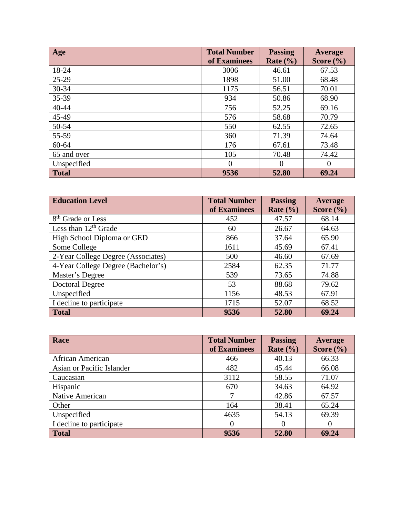| Age          | <b>Total Number</b><br>of Examinees | <b>Passing</b><br>Rate $(\% )$ | Average<br>Score $(\% )$ |
|--------------|-------------------------------------|--------------------------------|--------------------------|
| 18-24        | 3006                                | 46.61                          | 67.53                    |
| 25-29        | 1898                                | 51.00                          | 68.48                    |
| 30-34        | 1175                                | 56.51                          | 70.01                    |
| 35-39        | 934                                 | 50.86                          | 68.90                    |
| 40-44        | 756                                 | 52.25                          | 69.16                    |
| 45-49        | 576                                 | 58.68                          | 70.79                    |
| 50-54        | 550                                 | 62.55                          | 72.65                    |
| 55-59        | 360                                 | 71.39                          | 74.64                    |
| 60-64        | 176                                 | 67.61                          | 73.48                    |
| 65 and over  | 105                                 | 70.48                          | 74.42                    |
| Unspecified  | $\overline{0}$                      | $\Omega$                       | $\theta$                 |
| <b>Total</b> | 9536                                | 52.80                          | 69.24                    |

| <b>Education Level</b>             | <b>Total Number</b> | <b>Passing</b> | Average       |
|------------------------------------|---------------------|----------------|---------------|
|                                    | of Examinees        | Rate $(\% )$   | Score $(\% )$ |
| 8 <sup>th</sup> Grade or Less      | 452                 | 47.57          | 68.14         |
| Less than $12th$ Grade             | 60                  | 26.67          | 64.63         |
| High School Diploma or GED         | 866                 | 37.64          | 65.90         |
| Some College                       | 1611                | 45.69          | 67.41         |
| 2-Year College Degree (Associates) | 500                 | 46.60          | 67.69         |
| 4-Year College Degree (Bachelor's) | 2584                | 62.35          | 71.77         |
| Master's Degree                    | 539                 | 73.65          | 74.88         |
| <b>Doctoral Degree</b>             | 53                  | 88.68          | 79.62         |
| Unspecified                        | 1156                | 48.53          | 67.91         |
| I decline to participate           | 1715                | 52.07          | 68.52         |
| <b>Total</b>                       | 9536                | 52.80          | 69.24         |

| Race                      | <b>Total Number</b><br>of Examinees | <b>Passing</b><br>Rate $(\% )$ | Average<br>Score $(\% )$ |
|---------------------------|-------------------------------------|--------------------------------|--------------------------|
| African American          | 466                                 | 40.13                          | 66.33                    |
| Asian or Pacific Islander | 482                                 | 45.44                          | 66.08                    |
| Caucasian                 | 3112                                | 58.55                          | 71.07                    |
| Hispanic                  | 670                                 | 34.63                          | 64.92                    |
| Native American           | 7                                   | 42.86                          | 67.57                    |
| Other                     | 164                                 | 38.41                          | 65.24                    |
| Unspecified               | 4635                                | 54.13                          | 69.39                    |
| I decline to participate  | $\left( \right)$                    |                                | $\theta$                 |
| <b>Total</b>              | 9536                                | 52.80                          | 69.24                    |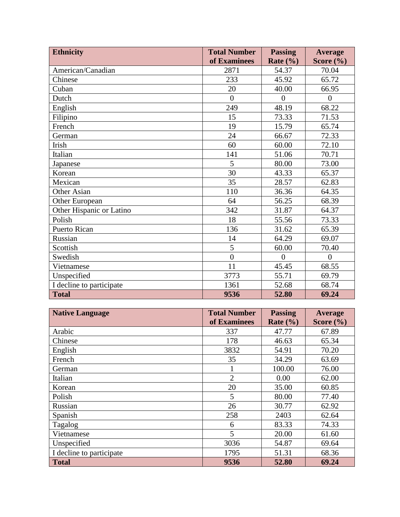| <b>Ethnicity</b>         | <b>Total Number</b> | <b>Passing</b> | <b>Average</b> |
|--------------------------|---------------------|----------------|----------------|
|                          | of Examinees        | Rate $(\% )$   | Score $(\% )$  |
| American/Canadian        | 2871                | 54.37          | 70.04          |
| Chinese                  | 233                 | 45.92          | 65.72          |
| Cuban                    | 20                  | 40.00          | 66.95          |
| Dutch                    | $\overline{0}$      | $\overline{0}$ | $\overline{0}$ |
| English                  | 249                 | 48.19          | 68.22          |
| Filipino                 | 15                  | 73.33          | 71.53          |
| French                   | 19                  | 15.79          | 65.74          |
| German                   | 24                  | 66.67          | 72.33          |
| Irish                    | 60                  | 60.00          | 72.10          |
| Italian                  | 141                 | 51.06          | 70.71          |
| Japanese                 | 5                   | 80.00          | 73.00          |
| Korean                   | 30                  | 43.33          | 65.37          |
| Mexican                  | 35                  | 28.57          | 62.83          |
| Other Asian              | 110                 | 36.36          | 64.35          |
| Other European           | 64                  | 56.25          | 68.39          |
| Other Hispanic or Latino | 342                 | 31.87          | 64.37          |
| Polish                   | 18                  | 55.56          | 73.33          |
| <b>Puerto Rican</b>      | 136                 | 31.62          | 65.39          |
| Russian                  | 14                  | 64.29          | 69.07          |
| Scottish                 | 5                   | 60.00          | 70.40          |
| Swedish                  | $\overline{0}$      | $\overline{0}$ | $\overline{0}$ |
| Vietnamese               | 11                  | 45.45          | 68.55          |
| Unspecified              | 3773                | 55.71          | 69.79          |
| I decline to participate | 1361                | 52.68          | 68.74          |
| <b>Total</b>             | 9536                | 52.80          | 69.24          |

| <b>Native Language</b>   | <b>Total Number</b> | <b>Passing</b> | Average       |
|--------------------------|---------------------|----------------|---------------|
|                          | of Examinees        | Rate $(\% )$   | Score $(\% )$ |
| Arabic                   | 337                 | 47.77          | 67.89         |
| Chinese                  | 178                 | 46.63          | 65.34         |
| English                  | 3832                | 54.91          | 70.20         |
| French                   | 35                  | 34.29          | 63.69         |
| German                   |                     | 100.00         | 76.00         |
| Italian                  | $\overline{2}$      | 0.00           | 62.00         |
| Korean                   | 20                  | 35.00          | 60.85         |
| Polish                   | 5                   | 80.00          | 77.40         |
| Russian                  | 26                  | 30.77          | 62.92         |
| Spanish                  | 258                 | 2403           | 62.64         |
| Tagalog                  | 6                   | 83.33          | 74.33         |
| Vietnamese               | 5                   | 20.00          | 61.60         |
| Unspecified              | 3036                | 54.87          | 69.64         |
| I decline to participate | 1795                | 51.31          | 68.36         |
| <b>Total</b>             | 9536                | 52.80          | 69.24         |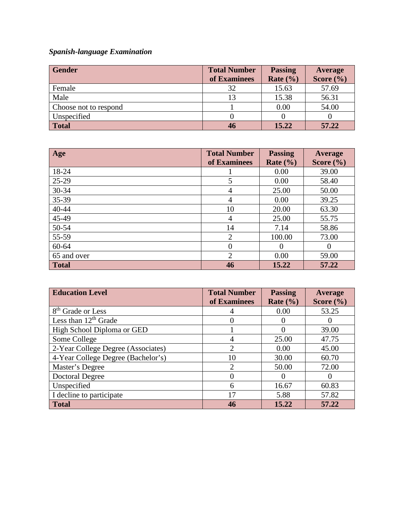# *Spanish-language Examination*

| <b>Gender</b>         | <b>Total Number</b> | <b>Passing</b> | Average       |
|-----------------------|---------------------|----------------|---------------|
|                       | of Examinees        | Rate $(\% )$   | Score $(\% )$ |
| Female                | 32                  | 15.63          | 57.69         |
| Male                  |                     | 15.38          | 56.31         |
| Choose not to respond |                     | 0.00           | 54.00         |
| Unspecified           |                     |                |               |
| <b>Total</b>          | 46                  | 15.22          | 57.22         |

| Age          | <b>Total Number</b> | <b>Passing</b> | Average       |
|--------------|---------------------|----------------|---------------|
|              | of Examinees        | Rate $(\% )$   | Score $(\% )$ |
| 18-24        |                     | 0.00           | 39.00         |
| $25-29$      | 5                   | 0.00           | 58.40         |
| 30-34        | 4                   | 25.00          | 50.00         |
| 35-39        | 4                   | 0.00           | 39.25         |
| $40 - 44$    | 10                  | 20.00          | 63.30         |
| 45-49        | 4                   | 25.00          | 55.75         |
| 50-54        | 14                  | 7.14           | 58.86         |
| 55-59        | $\overline{2}$      | 100.00         | 73.00         |
| 60-64        | $\overline{0}$      | $\Omega$       | $\Omega$      |
| 65 and over  | $\overline{2}$      | 0.00           | 59.00         |
| <b>Total</b> | 46                  | 15.22          | 57.22         |

| <b>Education Level</b>             | <b>Total Number</b> | <b>Passing</b> | Average       |
|------------------------------------|---------------------|----------------|---------------|
|                                    | of Examinees        | Rate $(\% )$   | Score $(\% )$ |
| 8 <sup>th</sup> Grade or Less      |                     | 0.00           | 53.25         |
| Less than 12 <sup>th</sup> Grade   | $\theta$            |                | $\theta$      |
| High School Diploma or GED         |                     |                | 39.00         |
| Some College                       | 4                   | 25.00          | 47.75         |
| 2-Year College Degree (Associates) | $\overline{2}$      | 0.00           | 45.00         |
| 4-Year College Degree (Bachelor's) | 10                  | 30.00          | 60.70         |
| Master's Degree                    | $\overline{2}$      | 50.00          | 72.00         |
| <b>Doctoral Degree</b>             | 0                   |                | $\theta$      |
| Unspecified                        | 6                   | 16.67          | 60.83         |
| I decline to participate           | 17                  | 5.88           | 57.82         |
| <b>Total</b>                       | 46                  | 15.22          | 57.22         |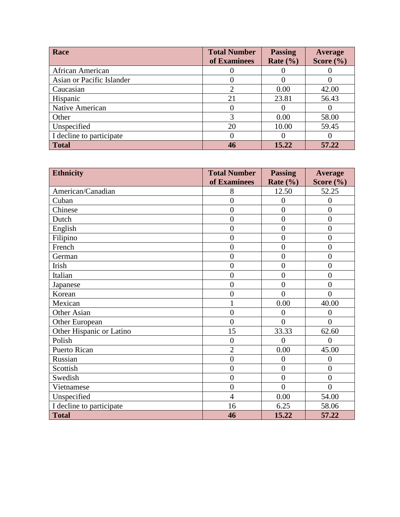| Race                      | <b>Total Number</b><br>of Examinees | <b>Passing</b><br>Rate $(\% )$ | Average<br>Score $(\% )$ |
|---------------------------|-------------------------------------|--------------------------------|--------------------------|
| African American          |                                     |                                |                          |
| Asian or Pacific Islander |                                     |                                |                          |
| Caucasian                 |                                     | 0.00                           | 42.00                    |
| Hispanic                  | 21                                  | 23.81                          | 56.43                    |
| Native American           |                                     |                                |                          |
| Other                     | 3                                   | 0.00                           | 58.00                    |
| Unspecified               | 20                                  | 10.00                          | 59.45                    |
| I decline to participate  |                                     |                                | O                        |
| <b>Total</b>              | 46                                  | 15.22                          | 57.22                    |

| <b>Ethnicity</b>         | <b>Total Number</b> | <b>Passing</b> | <b>Average</b> |
|--------------------------|---------------------|----------------|----------------|
|                          | of Examinees        | Rate $(\% )$   | Score $(\% )$  |
| American/Canadian        | 8                   | 12.50          | 52.25          |
| Cuban                    | $\overline{0}$      | $\overline{0}$ | $\overline{0}$ |
| Chinese                  | $\overline{0}$      | $\overline{0}$ | $\overline{0}$ |
| Dutch                    | $\overline{0}$      | $\overline{0}$ | $\overline{0}$ |
| English                  | $\overline{0}$      | $\overline{0}$ | $\overline{0}$ |
| Filipino                 | $\overline{0}$      | $\overline{0}$ | $\overline{0}$ |
| French                   | $\overline{0}$      | $\overline{0}$ | $\overline{0}$ |
| German                   | $\overline{0}$      | $\overline{0}$ | $\overline{0}$ |
| Irish                    | $\overline{0}$      | $\overline{0}$ | $\overline{0}$ |
| Italian                  | $\overline{0}$      | $\overline{0}$ | $\overline{0}$ |
| Japanese                 | $\overline{0}$      | $\overline{0}$ | $\overline{0}$ |
| Korean                   | $\boldsymbol{0}$    | $\theta$       | $\overline{0}$ |
| Mexican                  | $\mathbf{1}$        | 0.00           | 40.00          |
| Other Asian              | $\overline{0}$      | $\overline{0}$ | $\overline{0}$ |
| Other European           | $\overline{0}$      | $\theta$       | $\overline{0}$ |
| Other Hispanic or Latino | 15                  | 33.33          | 62.60          |
| Polish                   | $\overline{0}$      | $\theta$       | $\theta$       |
| <b>Puerto Rican</b>      | $\overline{2}$      | 0.00           | 45.00          |
| Russian                  | $\overline{0}$      | $\overline{0}$ | $\overline{0}$ |
| Scottish                 | $\overline{0}$      | $\overline{0}$ | $\overline{0}$ |
| Swedish                  | $\overline{0}$      | $\overline{0}$ | $\overline{0}$ |
| Vietnamese               | $\overline{0}$      | $\overline{0}$ | $\overline{0}$ |
| Unspecified              | $\overline{4}$      | 0.00           | 54.00          |
| I decline to participate | 16                  | 6.25           | 58.06          |
| <b>Total</b>             | 46                  | 15.22          | 57.22          |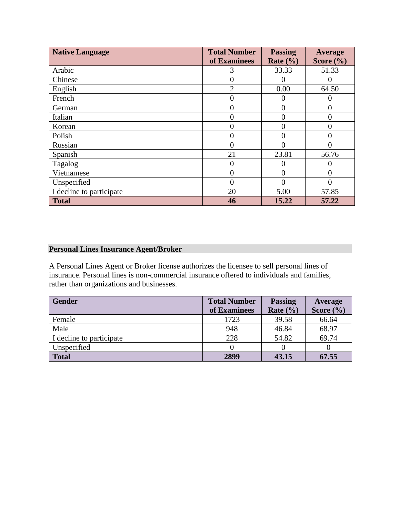| <b>Native Language</b>   | <b>Total Number</b> | <b>Passing</b> | Average        |
|--------------------------|---------------------|----------------|----------------|
|                          | of Examinees        | Rate $(\% )$   | Score $(\% )$  |
| Arabic                   | 3                   | 33.33          | 51.33          |
| Chinese                  | $\overline{0}$      | 0              | $\left($       |
| English                  | $\overline{2}$      | 0.00           | 64.50          |
| French                   | $\overline{0}$      | 0              | $\theta$       |
| German                   | 0                   | 0              | 0              |
| Italian                  | $\boldsymbol{0}$    | 0              | $\overline{0}$ |
| Korean                   | $\overline{0}$      | 0              | $\overline{0}$ |
| Polish                   | 0                   | 0              | 0              |
| Russian                  | $\Omega$            | 0              | $\Omega$       |
| Spanish                  | 21                  | 23.81          | 56.76          |
| Tagalog                  | $\overline{0}$      | 0              | 0              |
| Vietnamese               | $\mathbf{0}$        | 0              | $\overline{0}$ |
| Unspecified              | $\theta$            | 0              | 0              |
| I decline to participate | 20                  | 5.00           | 57.85          |
| <b>Total</b>             | 46                  | 15.22          | 57.22          |

# **Personal Lines Insurance Agent/Broker**

A Personal Lines Agent or Broker license authorizes the licensee to sell personal lines of insurance. Personal lines is non-commercial insurance offered to individuals and families, rather than organizations and businesses.

| <b>Gender</b>            | <b>Total Number</b> | <b>Passing</b> | Average       |
|--------------------------|---------------------|----------------|---------------|
|                          | of Examinees        | Rate $(\% )$   | Score $(\% )$ |
| Female                   | 1723                | 39.58          | 66.64         |
| Male                     | 948                 | 46.84          | 68.97         |
| I decline to participate | 228                 | 54.82          | 69.74         |
| Unspecified              |                     |                |               |
| <b>Total</b>             | 2899                | 43.15          | 67.55         |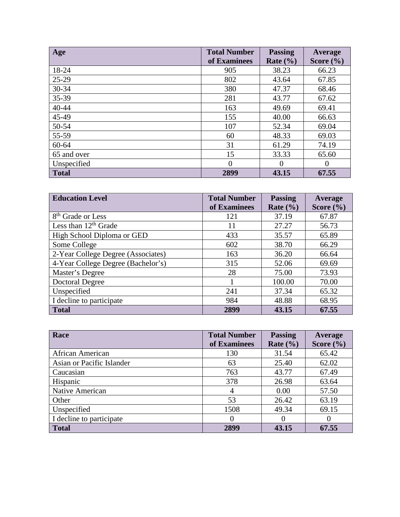| Age          | <b>Total Number</b><br>of Examinees | <b>Passing</b><br>Rate $(\% )$ | Average<br>Score $(\% )$ |
|--------------|-------------------------------------|--------------------------------|--------------------------|
| 18-24        | 905                                 | 38.23                          | 66.23                    |
| 25-29        | 802                                 | 43.64                          | 67.85                    |
| 30-34        | 380                                 | 47.37                          | 68.46                    |
| 35-39        | 281                                 | 43.77                          | 67.62                    |
| 40-44        | 163                                 | 49.69                          | 69.41                    |
| 45-49        | 155                                 | 40.00                          | 66.63                    |
| 50-54        | 107                                 | 52.34                          | 69.04                    |
| 55-59        | 60                                  | 48.33                          | 69.03                    |
| 60-64        | 31                                  | 61.29                          | 74.19                    |
| 65 and over  | 15                                  | 33.33                          | 65.60                    |
| Unspecified  | 0                                   | $\Omega$                       | 0                        |
| <b>Total</b> | 2899                                | 43.15                          | 67.55                    |

| <b>Education Level</b>             | <b>Total Number</b> | <b>Passing</b> | Average       |
|------------------------------------|---------------------|----------------|---------------|
|                                    | of Examinees        | Rate $(\% )$   | Score $(\% )$ |
| 8 <sup>th</sup> Grade or Less      | 121                 | 37.19          | 67.87         |
| Less than $12th$ Grade             | 11                  | 27.27          | 56.73         |
| High School Diploma or GED         | 433                 | 35.57          | 65.89         |
| Some College                       | 602                 | 38.70          | 66.29         |
| 2-Year College Degree (Associates) | 163                 | 36.20          | 66.64         |
| 4-Year College Degree (Bachelor's) | 315                 | 52.06          | 69.69         |
| Master's Degree                    | 28                  | 75.00          | 73.93         |
| <b>Doctoral Degree</b>             |                     | 100.00         | 70.00         |
| Unspecified                        | 241                 | 37.34          | 65.32         |
| I decline to participate           | 984                 | 48.88          | 68.95         |
| <b>Total</b>                       | 2899                | 43.15          | 67.55         |

| Race                      | <b>Total Number</b><br>of Examinees | <b>Passing</b><br>Rate $(\% )$ | Average<br>Score $(\% )$ |
|---------------------------|-------------------------------------|--------------------------------|--------------------------|
| African American          | 130                                 | 31.54                          | 65.42                    |
| Asian or Pacific Islander | 63                                  | 25.40                          | 62.02                    |
| Caucasian                 | 763                                 | 43.77                          | 67.49                    |
| Hispanic                  | 378                                 | 26.98                          | 63.64                    |
| Native American           | 4                                   | 0.00                           | 57.50                    |
| Other                     | 53                                  | 26.42                          | 63.19                    |
| Unspecified               | 1508                                | 49.34                          | 69.15                    |
| I decline to participate  | $\theta$                            |                                |                          |
| <b>Total</b>              | 2899                                | 43.15                          | 67.55                    |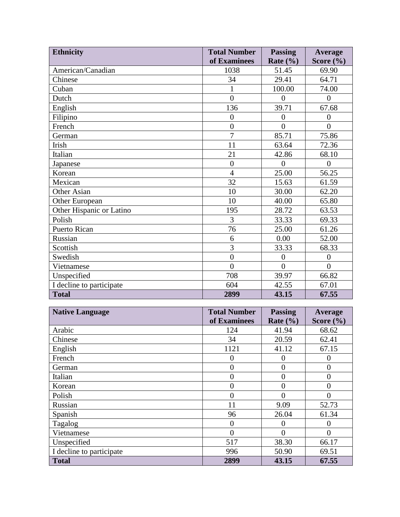| <b>Ethnicity</b>         | <b>Total Number</b> | <b>Passing</b> | <b>Average</b> |
|--------------------------|---------------------|----------------|----------------|
|                          | of Examinees        | Rate $(\% )$   | Score $(\% )$  |
| American/Canadian        | 1038                | 51.45          | 69.90          |
| Chinese                  | 34                  | 29.41          | 64.71          |
| Cuban                    | $\mathbf{1}$        | 100.00         | 74.00          |
| Dutch                    | $\theta$            | $\theta$       | $\overline{0}$ |
| English                  | 136                 | 39.71          | 67.68          |
| Filipino                 | $\overline{0}$      | $\overline{0}$ | $\overline{0}$ |
| French                   | $\overline{0}$      | $\theta$       | $\theta$       |
| German                   | $\overline{7}$      | 85.71          | 75.86          |
| Irish                    | 11                  | 63.64          | 72.36          |
| Italian                  | 21                  | 42.86          | 68.10          |
| Japanese                 | $\overline{0}$      | $\theta$       | $\Omega$       |
| Korean                   | $\overline{4}$      | 25.00          | 56.25          |
| Mexican                  | 32                  | 15.63          | 61.59          |
| <b>Other Asian</b>       | 10                  | 30.00          | 62.20          |
| Other European           | 10                  | 40.00          | 65.80          |
| Other Hispanic or Latino | 195                 | 28.72          | 63.53          |
| Polish                   | 3                   | 33.33          | 69.33          |
| <b>Puerto Rican</b>      | 76                  | 25.00          | 61.26          |
| Russian                  | 6                   | 0.00           | 52.00          |
| Scottish                 | 3                   | 33.33          | 68.33          |
| Swedish                  | $\overline{0}$      | $\theta$       | $\overline{0}$ |
| Vietnamese               | $\overline{0}$      | $\theta$       | $\Omega$       |
| Unspecified              | 708                 | 39.97          | 66.82          |
| I decline to participate | 604                 | 42.55          | 67.01          |
| <b>Total</b>             | 2899                | 43.15          | 67.55          |

| <b>Native Language</b>   | <b>Total Number</b> | <b>Passing</b> | Average       |
|--------------------------|---------------------|----------------|---------------|
|                          | of Examinees        | Rate $(\% )$   | Score $(\% )$ |
| Arabic                   | 124                 | 41.94          | 68.62         |
| Chinese                  | 34                  | 20.59          | 62.41         |
| English                  | 1121                | 41.12          | 67.15         |
| French                   | 0                   | $\theta$       | 0             |
| German                   | 0                   | $\overline{0}$ | 0             |
| Italian                  | 0                   | $\overline{0}$ | 0             |
| Korean                   | 0                   | $\theta$       | $\theta$      |
| Polish                   | 0                   | $\theta$       | 0             |
| Russian                  | 11                  | 9.09           | 52.73         |
| Spanish                  | 96                  | 26.04          | 61.34         |
| Tagalog                  | $\theta$            | 0              | $\theta$      |
| Vietnamese               | 0                   | $\Omega$       | $\Omega$      |
| Unspecified              | 517                 | 38.30          | 66.17         |
| I decline to participate | 996                 | 50.90          | 69.51         |
| <b>Total</b>             | 2899                | 43.15          | 67.55         |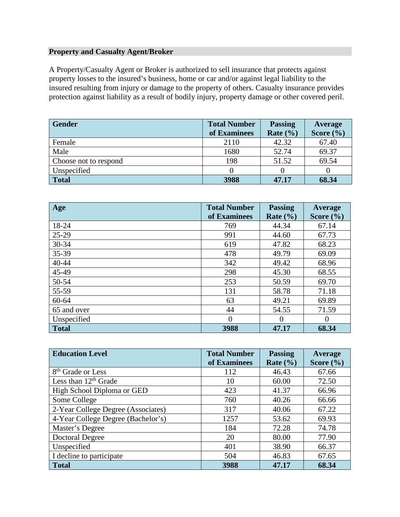# **Property and Casualty Agent/Broker**

A Property/Casualty Agent or Broker is authorized to sell insurance that protects against property losses to the insured's business, home or car and/or against legal liability to the insured resulting from injury or damage to the property of others. Casualty insurance provides protection against liability as a result of bodily injury, property damage or other covered peril.

| <b>Gender</b>         | <b>Total Number</b> | <b>Passing</b> | Average       |
|-----------------------|---------------------|----------------|---------------|
|                       | of Examinees        | Rate $(\% )$   | Score $(\% )$ |
| Female                | 2110                | 42.32          | 67.40         |
| Male                  | 1680                | 52.74          | 69.37         |
| Choose not to respond | 198                 | 51.52          | 69.54         |
| Unspecified           |                     |                |               |
| <b>Total</b>          | 3988                | 47.17          | 68.34         |

| Age          | <b>Total Number</b> | <b>Passing</b> | Average       |
|--------------|---------------------|----------------|---------------|
|              | of Examinees        | Rate $(\% )$   | Score $(\% )$ |
| 18-24        | 769                 | 44.34          | 67.14         |
| 25-29        | 991                 | 44.60          | 67.73         |
| 30-34        | 619                 | 47.82          | 68.23         |
| 35-39        | 478                 | 49.79          | 69.09         |
| 40-44        | 342                 | 49.42          | 68.96         |
| 45-49        | 298                 | 45.30          | 68.55         |
| 50-54        | 253                 | 50.59          | 69.70         |
| 55-59        | 131                 | 58.78          | 71.18         |
| $60 - 64$    | 63                  | 49.21          | 69.89         |
| 65 and over  | 44                  | 54.55          | 71.59         |
| Unspecified  | $\Omega$            | $\Omega$       | $\Omega$      |
| <b>Total</b> | 3988                | 47.17          | 68.34         |

| <b>Education Level</b>             | <b>Total Number</b> | <b>Passing</b> | <b>Average</b> |
|------------------------------------|---------------------|----------------|----------------|
|                                    | of Examinees        | Rate $(\% )$   | Score $(\% )$  |
| 8 <sup>th</sup> Grade or Less      | 112                 | 46.43          | 67.66          |
| Less than $12th$ Grade             | 10                  | 60.00          | 72.50          |
| High School Diploma or GED         | 423                 | 41.37          | 66.96          |
| Some College                       | 760                 | 40.26          | 66.66          |
| 2-Year College Degree (Associates) | 317                 | 40.06          | 67.22          |
| 4-Year College Degree (Bachelor's) | 1257                | 53.62          | 69.93          |
| Master's Degree                    | 184                 | 72.28          | 74.78          |
| <b>Doctoral Degree</b>             | 20                  | 80.00          | 77.90          |
| Unspecified                        | 401                 | 38.90          | 66.37          |
| I decline to participate           | 504                 | 46.83          | 67.65          |
| <b>Total</b>                       | 3988                | 47.17          | 68.34          |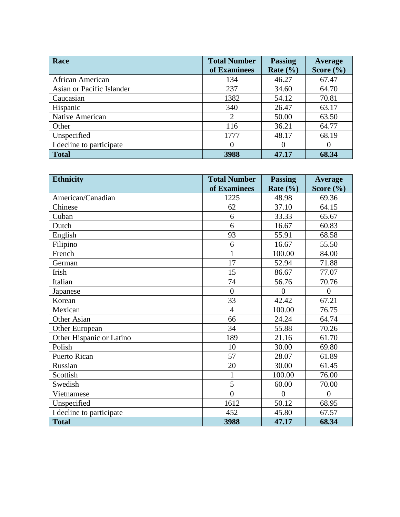| Race                      | <b>Total Number</b> | <b>Passing</b> | Average       |
|---------------------------|---------------------|----------------|---------------|
|                           | of Examinees        | Rate $(\% )$   | Score $(\% )$ |
| African American          | 134                 | 46.27          | 67.47         |
| Asian or Pacific Islander | 237                 | 34.60          | 64.70         |
| Caucasian                 | 1382                | 54.12          | 70.81         |
| Hispanic                  | 340                 | 26.47          | 63.17         |
| Native American           | 2                   | 50.00          | 63.50         |
| Other                     | 116                 | 36.21          | 64.77         |
| Unspecified               | 1777                | 48.17          | 68.19         |
| I decline to participate  |                     | $\theta$       |               |
| <b>Total</b>              | 3988                | 47.17          | 68.34         |

| <b>Ethnicity</b>         | <b>Total Number</b> | <b>Passing</b> | Average       |
|--------------------------|---------------------|----------------|---------------|
|                          | of Examinees        | Rate $(\% )$   | Score $(\% )$ |
| American/Canadian        | 1225                | 48.98          | 69.36         |
| Chinese                  | 62                  | 37.10          | 64.15         |
| Cuban                    | 6                   | 33.33          | 65.67         |
| Dutch                    | 6                   | 16.67          | 60.83         |
| English                  | 93                  | 55.91          | 68.58         |
| Filipino                 | 6                   | 16.67          | 55.50         |
| French                   | $\mathbf{1}$        | 100.00         | 84.00         |
| German                   | 17                  | 52.94          | 71.88         |
| Irish                    | 15                  | 86.67          | 77.07         |
| Italian                  | 74                  | 56.76          | 70.76         |
| Japanese                 | $\overline{0}$      | $\theta$       | $\theta$      |
| Korean                   | 33                  | 42.42          | 67.21         |
| Mexican                  | $\overline{4}$      | 100.00         | 76.75         |
| <b>Other Asian</b>       | 66                  | 24.24          | 64.74         |
| Other European           | 34                  | 55.88          | 70.26         |
| Other Hispanic or Latino | 189                 | 21.16          | 61.70         |
| Polish                   | 10                  | 30.00          | 69.80         |
| Puerto Rican             | 57                  | 28.07          | 61.89         |
| Russian                  | 20                  | 30.00          | 61.45         |
| Scottish                 | $\mathbf{1}$        | 100.00         | 76.00         |
| Swedish                  | 5                   | 60.00          | 70.00         |
| Vietnamese               | $\theta$            | $\Omega$       | $\Omega$      |
| Unspecified              | 1612                | 50.12          | 68.95         |
| I decline to participate | 452                 | 45.80          | 67.57         |
| <b>Total</b>             | 3988                | 47.17          | 68.34         |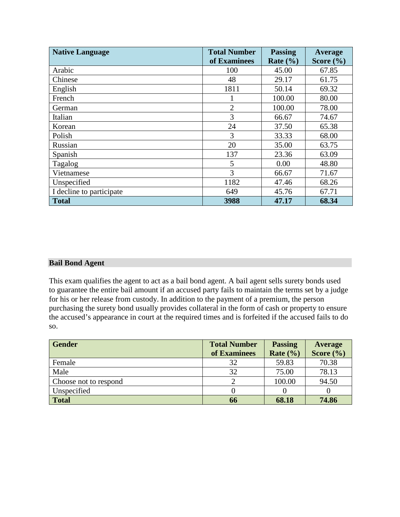| <b>Native Language</b>   | <b>Total Number</b> | <b>Passing</b> | Average       |
|--------------------------|---------------------|----------------|---------------|
|                          | of Examinees        | Rate $(\% )$   | Score $(\% )$ |
| Arabic                   | 100                 | 45.00          | 67.85         |
| Chinese                  | 48                  | 29.17          | 61.75         |
| English                  | 1811                | 50.14          | 69.32         |
| French                   |                     | 100.00         | 80.00         |
| German                   | $\overline{2}$      | 100.00         | 78.00         |
| Italian                  | 3                   | 66.67          | 74.67         |
| Korean                   | 24                  | 37.50          | 65.38         |
| Polish                   | 3                   | 33.33          | 68.00         |
| Russian                  | 20                  | 35.00          | 63.75         |
| Spanish                  | 137                 | 23.36          | 63.09         |
| Tagalog                  | 5                   | 0.00           | 48.80         |
| Vietnamese               | 3                   | 66.67          | 71.67         |
| Unspecified              | 1182                | 47.46          | 68.26         |
| I decline to participate | 649                 | 45.76          | 67.71         |
| <b>Total</b>             | 3988                | 47.17          | 68.34         |

### **Bail Bond Agent**

This exam qualifies the agent to act as a bail bond agent. A bail agent sells surety bonds used to guarantee the entire bail amount if an accused party fails to maintain the terms set by a judge for his or her release from custody. In addition to the payment of a premium, the person purchasing the surety bond usually provides collateral in the form of cash or property to ensure the accused's appearance in court at the required times and is forfeited if the accused fails to do so.

| <b>Gender</b>         | <b>Total Number</b> | <b>Passing</b> | <b>Average</b> |
|-----------------------|---------------------|----------------|----------------|
|                       | of Examinees        | Rate $(\% )$   | Score $(\% )$  |
| Female                | 32                  | 59.83          | 70.38          |
| Male                  | 32                  | 75.00          | 78.13          |
| Choose not to respond |                     | 100.00         | 94.50          |
| Unspecified           |                     |                |                |
| <b>Total</b>          | 66                  | 68.18          | 74.86          |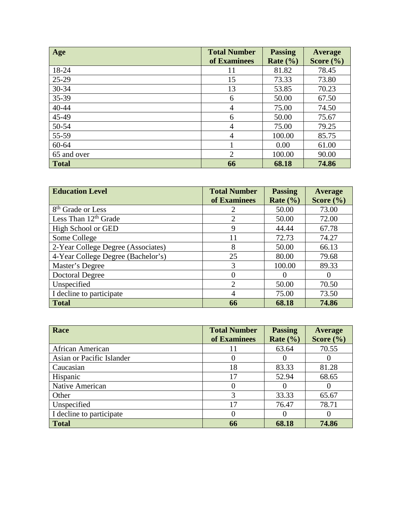| Age          | <b>Total Number</b> | <b>Passing</b> | Average       |
|--------------|---------------------|----------------|---------------|
|              | of Examinees        | Rate $(\% )$   | Score $(\% )$ |
| 18-24        | 11                  | 81.82          | 78.45         |
| 25-29        | 15                  | 73.33          | 73.80         |
| 30-34        | 13                  | 53.85          | 70.23         |
| 35-39        | 6                   | 50.00          | 67.50         |
| 40-44        | $\overline{4}$      | 75.00          | 74.50         |
| 45-49        | 6                   | 50.00          | 75.67         |
| 50-54        | 4                   | 75.00          | 79.25         |
| 55-59        | $\overline{4}$      | 100.00         | 85.75         |
| 60-64        |                     | 0.00           | 61.00         |
| 65 and over  | 2                   | 100.00         | 90.00         |
| <b>Total</b> | 66                  | 68.18          | 74.86         |

| <b>Education Level</b>             | <b>Total Number</b> | <b>Passing</b> | Average       |
|------------------------------------|---------------------|----------------|---------------|
|                                    | of Examinees        | Rate $(\% )$   | Score $(\% )$ |
| 8 <sup>th</sup> Grade or Less      | 2                   | 50.00          | 73.00         |
| Less Than 12 <sup>th</sup> Grade   | $\overline{2}$      | 50.00          | 72.00         |
| High School or GED                 | 9                   | 44.44          | 67.78         |
| Some College                       | 11                  | 72.73          | 74.27         |
| 2-Year College Degree (Associates) | 8                   | 50.00          | 66.13         |
| 4-Year College Degree (Bachelor's) | 25                  | 80.00          | 79.68         |
| Master's Degree                    | 3                   | 100.00         | 89.33         |
| <b>Doctoral Degree</b>             | $\theta$            | $\Omega$       |               |
| Unspecified                        | $\overline{2}$      | 50.00          | 70.50         |
| I decline to participate           | 4                   | 75.00          | 73.50         |
| <b>Total</b>                       | 66                  | 68.18          | 74.86         |

| Race                      | <b>Total Number</b><br>of Examinees | <b>Passing</b><br>Rate $(\% )$ | Average<br>Score $(\% )$ |
|---------------------------|-------------------------------------|--------------------------------|--------------------------|
| African American          | 11                                  | 63.64                          | 70.55                    |
| Asian or Pacific Islander | 0                                   |                                |                          |
| Caucasian                 | 18                                  | 83.33                          | 81.28                    |
| Hispanic                  | 17                                  | 52.94                          | 68.65                    |
| Native American           |                                     |                                |                          |
| Other                     | 3                                   | 33.33                          | 65.67                    |
| Unspecified               | 17                                  | 76.47                          | 78.71                    |
| I decline to participate  | 0                                   |                                |                          |
| <b>Total</b>              | 66                                  | 68.18                          | 74.86                    |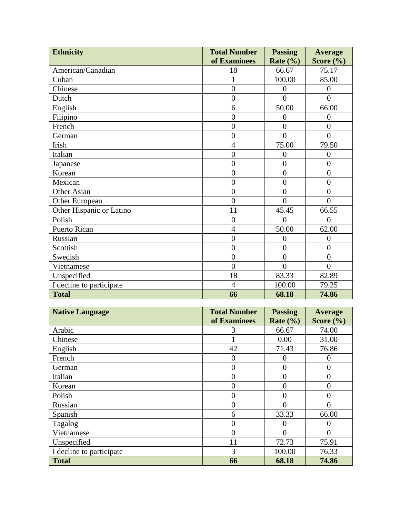| <b>Ethnicity</b>         | <b>Total Number</b> | <b>Passing</b> | <b>Average</b> |
|--------------------------|---------------------|----------------|----------------|
|                          | of Examinees        | Rate $(\% )$   | Score $(\% )$  |
| American/Canadian        | 18                  | 66.67          | 75.17          |
| Cuban                    | 1                   | 100.00         | 85.00          |
| Chinese                  | $\overline{0}$      | $\overline{0}$ | $\overline{0}$ |
| Dutch                    | $\overline{0}$      | $\theta$       | $\theta$       |
| English                  | 6                   | 50.00          | 66.00          |
| Filipino                 | $\overline{0}$      | $\overline{0}$ | $\overline{0}$ |
| French                   | $\overline{0}$      | $\overline{0}$ | $\overline{0}$ |
| German                   | $\overline{0}$      | $\overline{0}$ | $\overline{0}$ |
| Irish                    | $\overline{4}$      | 75.00          | 79.50          |
| Italian                  | $\overline{0}$      | $\overline{0}$ | $\overline{0}$ |
| Japanese                 | $\overline{0}$      | $\overline{0}$ | $\overline{0}$ |
| Korean                   | $\overline{0}$      | $\overline{0}$ | $\overline{0}$ |
| Mexican                  | $\overline{0}$      | $\overline{0}$ | $\overline{0}$ |
| Other Asian              | $\overline{0}$      | $\overline{0}$ | $\overline{0}$ |
| Other European           | $\overline{0}$      | $\theta$       | $\theta$       |
| Other Hispanic or Latino | 11                  | 45.45          | 66.55          |
| Polish                   | $\overline{0}$      | $\Omega$       | $\Omega$       |
| Puerto Rican             | $\overline{4}$      | 50.00          | 62.00          |
| Russian                  | $\overline{0}$      | 0              | $\overline{0}$ |
| Scottish                 | $\overline{0}$      | $\overline{0}$ | $\overline{0}$ |
| Swedish                  | $\overline{0}$      | $\overline{0}$ | $\overline{0}$ |
| Vietnamese               | $\overline{0}$      | $\overline{0}$ | $\overline{0}$ |
| Unspecified              | 18                  | 83.33          | 82.89          |
| I decline to participate | $\overline{4}$      | 100.00         | 79.25          |
| <b>Total</b>             | 66                  | 68.18          | 74.86          |

| <b>Native Language</b>   | <b>Total Number</b> | <b>Passing</b> | Average       |
|--------------------------|---------------------|----------------|---------------|
|                          | of Examinees        | Rate $(\% )$   | Score $(\% )$ |
| Arabic                   | 3                   | 66.67          | 74.00         |
| Chinese                  |                     | 0.00           | 31.00         |
| English                  | 42                  | 71.43          | 76.86         |
| French                   | 0                   | O              |               |
| German                   | 0                   | 0              | 0             |
| Italian                  | 0                   | 0              | O             |
| Korean                   | 0                   | 0              | 0             |
| Polish                   | 0                   | 0              | 0             |
| Russian                  | 0                   | 0              | $\theta$      |
| Spanish                  | 6                   | 33.33          | 66.00         |
| Tagalog                  | 0                   | 0              | 0             |
| Vietnamese               | 0                   | 0              |               |
| Unspecified              | 11                  | 72.73          | 75.91         |
| I decline to participate | 3                   | 100.00         | 76.33         |
| <b>Total</b>             | 66                  | 68.18          | 74.86         |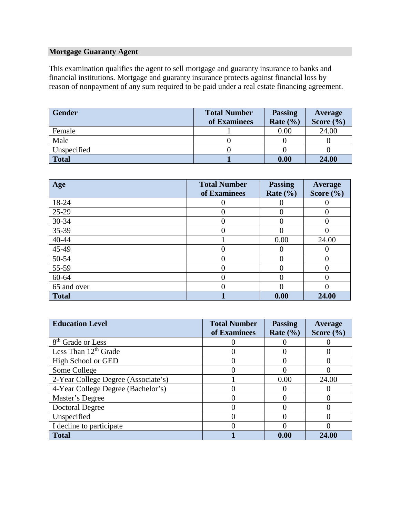# **Mortgage Guaranty Agent**

This examination qualifies the agent to sell mortgage and guaranty insurance to banks and financial institutions. Mortgage and guaranty insurance protects against financial loss by reason of nonpayment of any sum required to be paid under a real estate financing agreement.

| <b>Gender</b> | <b>Total Number</b> | <b>Passing</b> | Average       |
|---------------|---------------------|----------------|---------------|
|               | of Examinees        | Rate $(\% )$   | Score $(\% )$ |
| Female        |                     | 0.00           | 24.00         |
| Male          |                     |                |               |
| Unspecified   |                     |                |               |
| <b>Total</b>  |                     | 0.00           | 24.00         |

| Age          | <b>Total Number</b><br>of Examinees | <b>Passing</b><br>Rate $(\% )$ | Average<br>Score $(\% )$ |
|--------------|-------------------------------------|--------------------------------|--------------------------|
| 18-24        |                                     |                                |                          |
| 25-29        |                                     |                                |                          |
| 30-34        |                                     | 0                              |                          |
| 35-39        |                                     | 0                              |                          |
| 40-44        |                                     | 0.00                           | 24.00                    |
| 45-49        |                                     |                                |                          |
| 50-54        |                                     |                                |                          |
| 55-59        |                                     |                                |                          |
| 60-64        |                                     |                                |                          |
| 65 and over  |                                     |                                |                          |
| <b>Total</b> |                                     | 0.00                           | 24.00                    |

| <b>Education Level</b>              | <b>Total Number</b><br>of Examinees | <b>Passing</b><br>Rate $(\% )$ | Average<br>Score $(\% )$ |
|-------------------------------------|-------------------------------------|--------------------------------|--------------------------|
|                                     |                                     |                                |                          |
| 8 <sup>th</sup> Grade or Less       |                                     |                                |                          |
| Less Than $12th$ Grade              |                                     |                                |                          |
| High School or GED                  |                                     |                                |                          |
| Some College                        |                                     |                                |                          |
| 2-Year College Degree (Associate's) |                                     | 0.00                           | 24.00                    |
| 4-Year College Degree (Bachelor's)  |                                     |                                |                          |
| Master's Degree                     |                                     |                                |                          |
| Doctoral Degree                     |                                     |                                |                          |
| Unspecified                         |                                     |                                |                          |
| I decline to participate            |                                     |                                |                          |
| <b>Total</b>                        |                                     | 0.00                           | 24.00                    |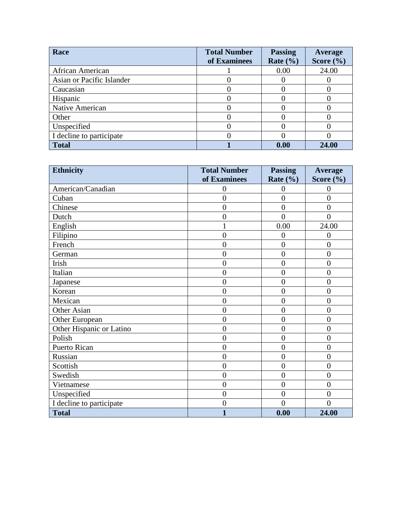| Race                      | <b>Total Number</b><br>of Examinees | <b>Passing</b><br>Rate $(\% )$ | Average<br>Score $(\% )$ |
|---------------------------|-------------------------------------|--------------------------------|--------------------------|
| African American          |                                     | 0.00                           | 24.00                    |
| Asian or Pacific Islander |                                     |                                |                          |
| Caucasian                 |                                     |                                |                          |
| Hispanic                  |                                     |                                |                          |
| Native American           |                                     |                                |                          |
| Other                     |                                     |                                |                          |
| Unspecified               |                                     |                                |                          |
| I decline to participate  |                                     |                                |                          |
| <b>Total</b>              |                                     | 0.00                           | 24.00                    |

| <b>Ethnicity</b>         | <b>Total Number</b> | <b>Passing</b> | <b>Average</b> |
|--------------------------|---------------------|----------------|----------------|
|                          | of Examinees        | Rate $(\% )$   | Score $(\% )$  |
| American/Canadian        | $\theta$            | 0              | 0              |
| Cuban                    | $\overline{0}$      | $\overline{0}$ | $\overline{0}$ |
| Chinese                  | $\overline{0}$      | $\overline{0}$ | $\overline{0}$ |
| Dutch                    | $\overline{0}$      | $\theta$       | $\theta$       |
| English                  |                     | 0.00           | 24.00          |
| Filipino                 | $\overline{0}$      | $\overline{0}$ | $\overline{0}$ |
| French                   | $\overline{0}$      | $\overline{0}$ | $\overline{0}$ |
| German                   | $\overline{0}$      | $\overline{0}$ | $\overline{0}$ |
| Irish                    | $\overline{0}$      | $\overline{0}$ | $\theta$       |
| Italian                  | $\overline{0}$      | $\overline{0}$ | $\overline{0}$ |
| Japanese                 | $\overline{0}$      | $\overline{0}$ | $\overline{0}$ |
| Korean                   | $\overline{0}$      | $\overline{0}$ | $\overline{0}$ |
| Mexican                  | $\overline{0}$      | $\overline{0}$ | $\overline{0}$ |
| Other Asian              | $\overline{0}$      | $\overline{0}$ | $\theta$       |
| Other European           | $\overline{0}$      | $\overline{0}$ | $\overline{0}$ |
| Other Hispanic or Latino | $\overline{0}$      | $\overline{0}$ | $\overline{0}$ |
| Polish                   | $\overline{0}$      | $\overline{0}$ | $\overline{0}$ |
| Puerto Rican             | $\overline{0}$      | $\overline{0}$ | $\overline{0}$ |
| Russian                  | $\overline{0}$      | $\overline{0}$ | $\overline{0}$ |
| Scottish                 | $\overline{0}$      | $\overline{0}$ | $\overline{0}$ |
| Swedish                  | $\overline{0}$      | $\overline{0}$ | $\overline{0}$ |
| Vietnamese               | $\overline{0}$      | $\overline{0}$ | $\theta$       |
| Unspecified              | $\overline{0}$      | $\overline{0}$ | $\overline{0}$ |
| I decline to participate | $\overline{0}$      | $\theta$       | $\overline{0}$ |
| <b>Total</b>             | $\mathbf{1}$        | 0.00           | 24.00          |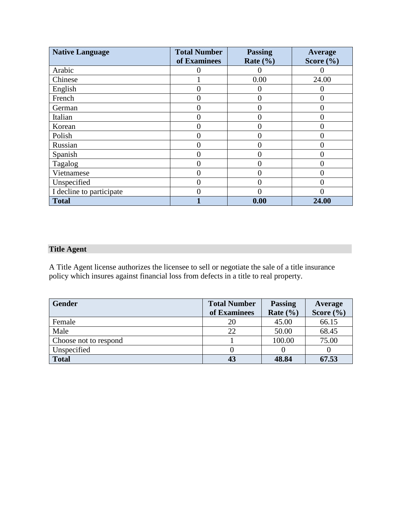| <b>Native Language</b>   | <b>Total Number</b> | <b>Passing</b> | Average       |
|--------------------------|---------------------|----------------|---------------|
|                          | of Examinees        | Rate $(\% )$   | Score $(\% )$ |
| Arabic                   |                     |                |               |
| Chinese                  |                     | 0.00           | 24.00         |
| English                  |                     |                |               |
| French                   | $\Omega$            | 0              |               |
| German                   | $\theta$            |                |               |
| Italian                  |                     |                |               |
| Korean                   | $\theta$            |                |               |
| Polish                   |                     |                |               |
| Russian                  | $\Omega$            |                |               |
| Spanish                  | $\Omega$            |                | ( )           |
| Tagalog                  |                     |                |               |
| Vietnamese               | $\theta$            |                | 0             |
| Unspecified              |                     |                |               |
| I decline to participate |                     |                |               |
| <b>Total</b>             |                     | 0.00           | 24.00         |

# **Title Agent**

A Title Agent license authorizes the licensee to sell or negotiate the sale of a title insurance policy which insures against financial loss from defects in a title to real property.

| <b>Gender</b>         | <b>Total Number</b> | <b>Passing</b> | Average       |
|-----------------------|---------------------|----------------|---------------|
|                       | of Examinees        | Rate $(\% )$   | Score $(\% )$ |
| Female                |                     | 45.00          | 66.15         |
| Male                  | 22                  | 50.00          | 68.45         |
| Choose not to respond |                     | 100.00         | 75.00         |
| Unspecified           |                     |                |               |
| <b>Total</b>          | 43                  | 48.84          | 67.53         |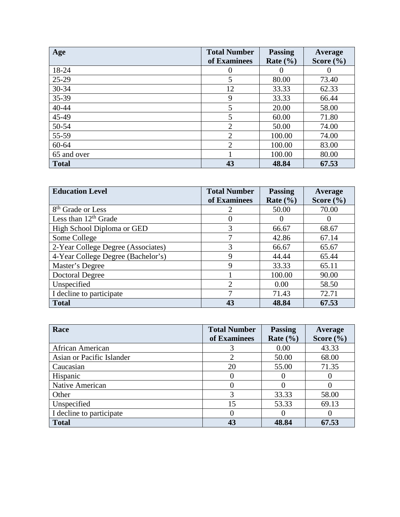| Age          | <b>Total Number</b> | <b>Passing</b> | Average       |
|--------------|---------------------|----------------|---------------|
|              | of Examinees        | Rate $(\% )$   | Score $(\% )$ |
| 18-24        | $\theta$            |                |               |
| 25-29        | 5                   | 80.00          | 73.40         |
| $30 - 34$    | 12                  | 33.33          | 62.33         |
| 35-39        | 9                   | 33.33          | 66.44         |
| 40-44        | 5                   | 20.00          | 58.00         |
| 45-49        | 5                   | 60.00          | 71.80         |
| 50-54        | $\overline{2}$      | 50.00          | 74.00         |
| 55-59        | $\overline{2}$      | 100.00         | 74.00         |
| 60-64        | $\overline{2}$      | 100.00         | 83.00         |
| 65 and over  |                     | 100.00         | 80.00         |
| <b>Total</b> | 43                  | 48.84          | 67.53         |

| <b>Education Level</b>             | <b>Total Number</b> | <b>Passing</b> | Average       |
|------------------------------------|---------------------|----------------|---------------|
|                                    | of Examinees        | Rate $(\% )$   | Score $(\% )$ |
| 8 <sup>th</sup> Grade or Less      | 2                   | 50.00          | 70.00         |
| Less than $12th$ Grade             | $\theta$            |                | $\theta$      |
| High School Diploma or GED         | 3                   | 66.67          | 68.67         |
| Some College                       |                     | 42.86          | 67.14         |
| 2-Year College Degree (Associates) | 3                   | 66.67          | 65.67         |
| 4-Year College Degree (Bachelor's) | 9                   | 44.44          | 65.44         |
| Master's Degree                    | 9                   | 33.33          | 65.11         |
| <b>Doctoral Degree</b>             |                     | 100.00         | 90.00         |
| Unspecified                        | $\overline{2}$      | 0.00           | 58.50         |
| I decline to participate           | 7                   | 71.43          | 72.71         |
| <b>Total</b>                       | 43                  | 48.84          | 67.53         |

| Race                      | <b>Total Number</b> | <b>Passing</b> | Average       |
|---------------------------|---------------------|----------------|---------------|
|                           | of Examinees        | Rate $(\% )$   | Score $(\% )$ |
| African American          |                     | 0.00           | 43.33         |
| Asian or Pacific Islander |                     | 50.00          | 68.00         |
| Caucasian                 | 20                  | 55.00          | 71.35         |
| Hispanic                  | 0                   |                |               |
| Native American           | $\left($            |                |               |
| Other                     | 3                   | 33.33          | 58.00         |
| Unspecified               | 15                  | 53.33          | 69.13         |
| I decline to participate  | $\theta$            |                |               |
| <b>Total</b>              | 43                  | 48.84          | 67.53         |